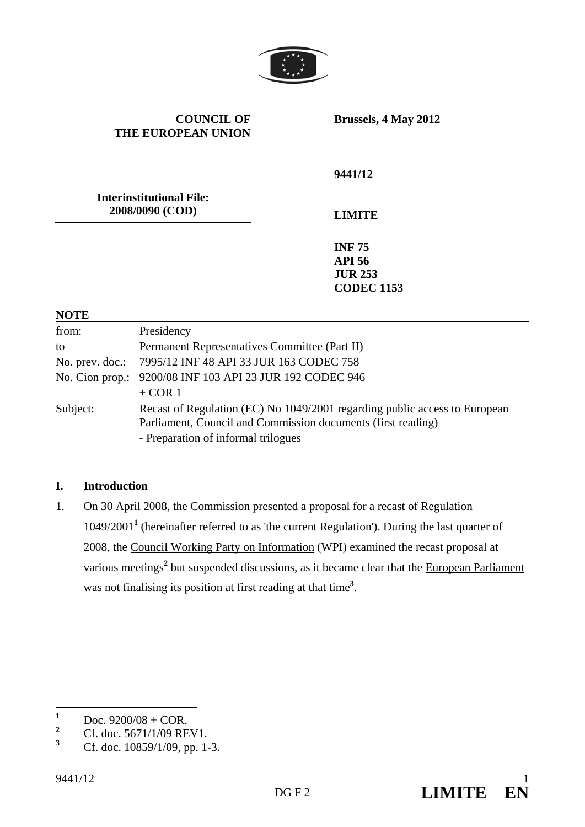

#### **COUNCIL OF THE EUROPEAN UNION**

**Brussels, 4 May 2012** 

**9441/12** 

**Interinstitutional File: 2008/0090 (COD)** 

**LIMITE** 

**INF 75 API 56 JUR 253 CODEC 1153**

#### **NOTE**

| from:    | Presidency                                                                                                                                 |
|----------|--------------------------------------------------------------------------------------------------------------------------------------------|
| to       | Permanent Representatives Committee (Part II)                                                                                              |
|          | No. prev. doc.: 7995/12 INF 48 API 33 JUR 163 CODEC 758                                                                                    |
|          | No. Cion prop.: 9200/08 INF 103 API 23 JUR 192 CODEC 946                                                                                   |
|          | $+$ COR 1                                                                                                                                  |
| Subject: | Recast of Regulation (EC) No 1049/2001 regarding public access to European<br>Parliament, Council and Commission documents (first reading) |
|          | - Preparation of informal trilogues                                                                                                        |

## **I. Introduction**

1. On 30 April 2008, the Commission presented a proposal for a recast of Regulation 1049/2001**<sup>1</sup>** (hereinafter referred to as 'the current Regulation'). During the last quarter of 2008, the Council Working Party on Information (WPI) examined the recast proposal at various meetings<sup>2</sup> but suspended discussions, as it became clear that the European Parliament was not finalising its position at first reading at that time**<sup>3</sup>** .

 **1** Doc.  $9200/08 + COR$ .

**<sup>2</sup>** Cf. doc. 5671/1/09 REV1.

**<sup>3</sup>** Cf. doc. 10859/1/09, pp. 1-3.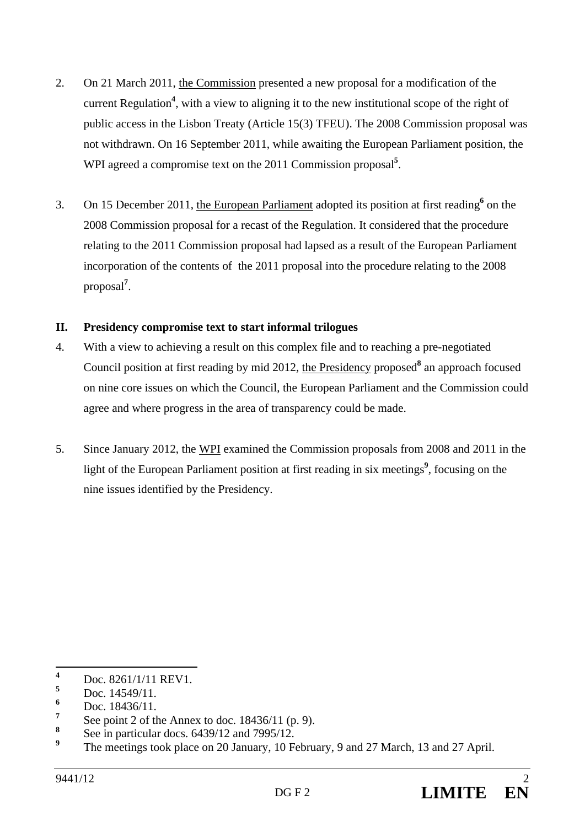- 2. On 21 March 2011, the Commission presented a new proposal for a modification of the current Regulation**<sup>4</sup>** , with a view to aligning it to the new institutional scope of the right of public access in the Lisbon Treaty (Article 15(3) TFEU). The 2008 Commission proposal was not withdrawn. On 16 September 2011, while awaiting the European Parliament position, the WPI agreed a compromise text on the 2011 Commission proposal<sup>5</sup>.
- 3. On 15 December 2011, the European Parliament adopted its position at first reading<sup>6</sup> on the 2008 Commission proposal for a recast of the Regulation. It considered that the procedure relating to the 2011 Commission proposal had lapsed as a result of the European Parliament incorporation of the contents of the 2011 proposal into the procedure relating to the 2008 proposal**<sup>7</sup>** .

#### **II. Presidency compromise text to start informal trilogues**

- 4. With a view to achieving a result on this complex file and to reaching a pre-negotiated Council position at first reading by mid 2012, the Presidency proposed<sup>8</sup> an approach focused on nine core issues on which the Council, the European Parliament and the Commission could agree and where progress in the area of transparency could be made.
- 5. Since January 2012, the WPI examined the Commission proposals from 2008 and 2011 in the light of the European Parliament position at first reading in six meetings<sup>9</sup>, focusing on the nine issues identified by the Presidency.

 **4** Doc. 8261/1/11 REV1.

**<sup>5</sup>** Doc. 14549/11.

**<sup>6</sup>** Doc. 18436/11.

**<sup>7</sup>** See point 2 of the Annex to doc. 18436/11 (p. 9).

**<sup>8</sup>** See in particular docs. 6439/12 and 7995/12.

**<sup>9</sup>** The meetings took place on 20 January, 10 February, 9 and 27 March, 13 and 27 April.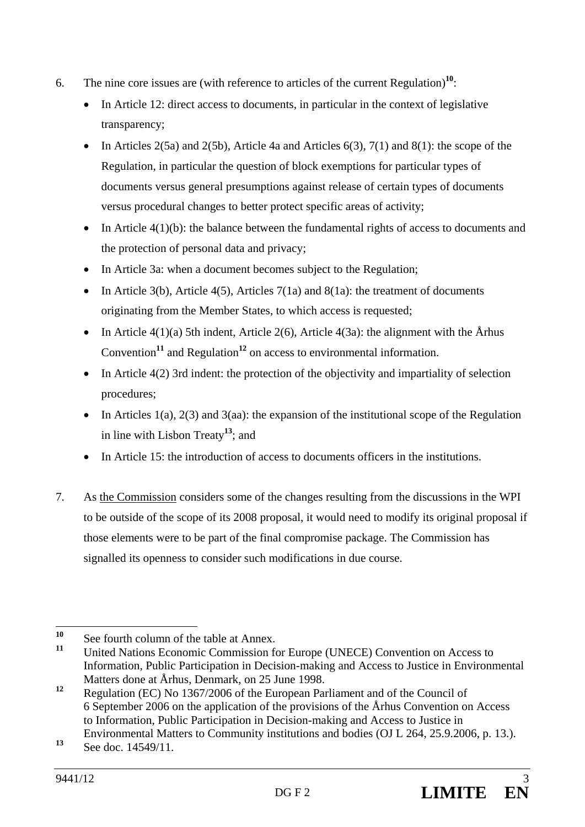- 6. The nine core issues are (with reference to articles of the current Regulation)**<sup>10</sup>**:
	- In Article 12: direct access to documents, in particular in the context of legislative transparency;
	- In Articles 2(5a) and 2(5b), Article 4a and Articles  $6(3)$ ,  $7(1)$  and  $8(1)$ : the scope of the Regulation, in particular the question of block exemptions for particular types of documents versus general presumptions against release of certain types of documents versus procedural changes to better protect specific areas of activity;
	- $\bullet$  In Article 4(1)(b): the balance between the fundamental rights of access to documents and the protection of personal data and privacy;
	- In Article 3a: when a document becomes subject to the Regulation;
	- In Article 3(b), Article 4(5), Articles 7(1a) and 8(1a): the treatment of documents originating from the Member States, to which access is requested;
	- In Article 4(1)(a) 5th indent, Article 2(6), Article 4(3a): the alignment with the Århus Convention<sup>11</sup> and Regulation<sup>12</sup> on access to environmental information.
	- In Article  $4(2)$  3rd indent: the protection of the objectivity and impartiality of selection procedures;
	- In Articles 1(a), 2(3) and 3(aa): the expansion of the institutional scope of the Regulation in line with Lisbon Treaty**<sup>13</sup>**; and
	- In Article 15: the introduction of access to documents officers in the institutions.
- 7. As the Commission considers some of the changes resulting from the discussions in the WPI to be outside of the scope of its 2008 proposal, it would need to modify its original proposal if those elements were to be part of the final compromise package. The Commission has signalled its openness to consider such modifications in due course.

 $10<sup>1</sup>$ <sup>10</sup> See fourth column of the table at Annex.<br><sup>11</sup> Lighted Matigna Fearnania Commission for

**<sup>11</sup>** United Nations Economic Commission for Europe (UNECE) Convention on Access to Information, Public Participation in Decision-making and Access to Justice in Environmental Matters done at Århus, Denmark, on 25 June 1998.

**<sup>12</sup>** Regulation (EC) No 1367/2006 of the European Parliament and of the Council of 6 September 2006 on the application of the provisions of the Århus Convention on Access to Information, Public Participation in Decision-making and Access to Justice in Environmental Matters to Community institutions and bodies (OJ L 264, 25.9.2006, p. 13.).

**<sup>13</sup>** See doc. 14549/11.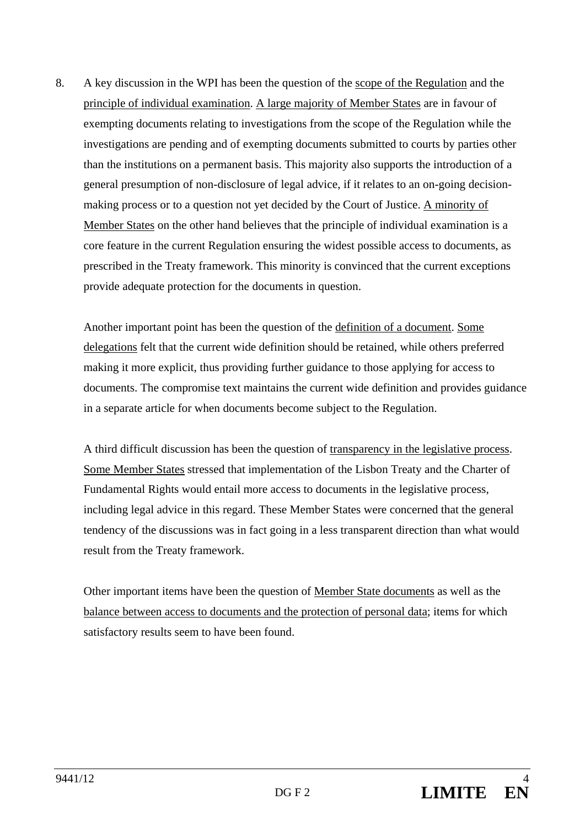8. A key discussion in the WPI has been the question of the scope of the Regulation and the principle of individual examination. A large majority of Member States are in favour of exempting documents relating to investigations from the scope of the Regulation while the investigations are pending and of exempting documents submitted to courts by parties other than the institutions on a permanent basis. This majority also supports the introduction of a general presumption of non-disclosure of legal advice, if it relates to an on-going decisionmaking process or to a question not yet decided by the Court of Justice. A minority of Member States on the other hand believes that the principle of individual examination is a core feature in the current Regulation ensuring the widest possible access to documents, as prescribed in the Treaty framework. This minority is convinced that the current exceptions provide adequate protection for the documents in question.

Another important point has been the question of the definition of a document. Some delegations felt that the current wide definition should be retained, while others preferred making it more explicit, thus providing further guidance to those applying for access to documents. The compromise text maintains the current wide definition and provides guidance in a separate article for when documents become subject to the Regulation.

A third difficult discussion has been the question of transparency in the legislative process. Some Member States stressed that implementation of the Lisbon Treaty and the Charter of Fundamental Rights would entail more access to documents in the legislative process, including legal advice in this regard. These Member States were concerned that the general tendency of the discussions was in fact going in a less transparent direction than what would result from the Treaty framework.

Other important items have been the question of Member State documents as well as the balance between access to documents and the protection of personal data; items for which satisfactory results seem to have been found.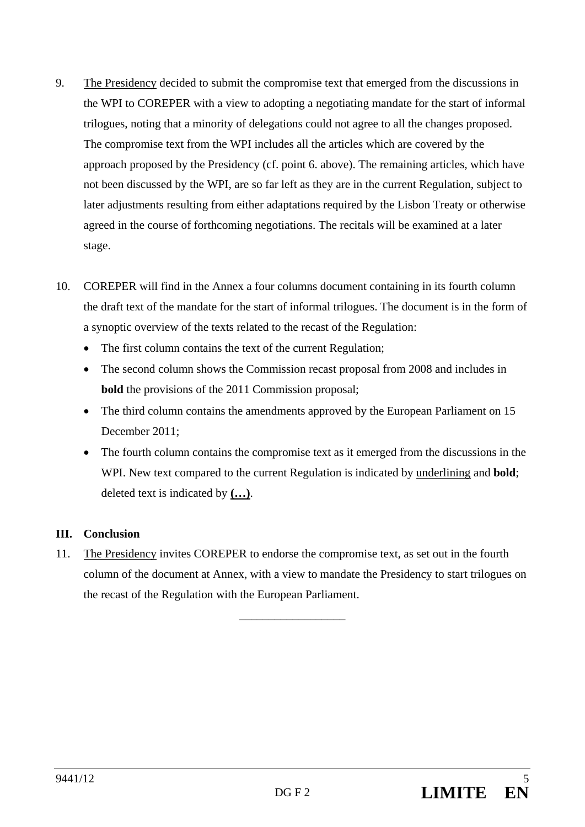- 9. The Presidency decided to submit the compromise text that emerged from the discussions in the WPI to COREPER with a view to adopting a negotiating mandate for the start of informal trilogues, noting that a minority of delegations could not agree to all the changes proposed. The compromise text from the WPI includes all the articles which are covered by the approach proposed by the Presidency (cf. point 6. above). The remaining articles, which have not been discussed by the WPI, are so far left as they are in the current Regulation, subject to later adjustments resulting from either adaptations required by the Lisbon Treaty or otherwise agreed in the course of forthcoming negotiations. The recitals will be examined at a later stage.
- 10. COREPER will find in the Annex a four columns document containing in its fourth column the draft text of the mandate for the start of informal trilogues. The document is in the form of a synoptic overview of the texts related to the recast of the Regulation:
	- The first column contains the text of the current Regulation;
	- The second column shows the Commission recast proposal from 2008 and includes in **bold** the provisions of the 2011 Commission proposal;
	- The third column contains the amendments approved by the European Parliament on 15 December 2011;
	- The fourth column contains the compromise text as it emerged from the discussions in the WPI. New text compared to the current Regulation is indicated by underlining and **bold**; deleted text is indicated by **(…)**.

# **III. Conclusion**

11. The Presidency invites COREPER to endorse the compromise text, as set out in the fourth column of the document at Annex, with a view to mandate the Presidency to start trilogues on the recast of the Regulation with the European Parliament.

 $\overline{\phantom{a}}$  , where  $\overline{\phantom{a}}$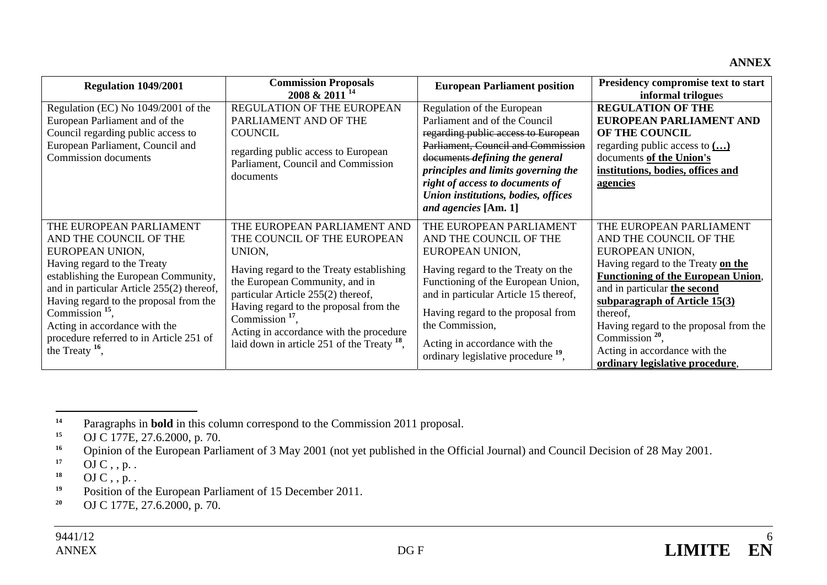## **ANNEX**

| Regulation 1049/2001                                                                                                                                                                                                                                                                                                                                     | <b>Commission Proposals</b><br>2008 & 2011 <sup>14</sup>                                                                                                                                                                                                                                                                                               | <b>European Parliament position</b>                                                                                                                                                                                                                                                                                                   | Presidency compromise text to start<br>informal trilogues                                                                                                                                                                                                                                                                                                                 |
|----------------------------------------------------------------------------------------------------------------------------------------------------------------------------------------------------------------------------------------------------------------------------------------------------------------------------------------------------------|--------------------------------------------------------------------------------------------------------------------------------------------------------------------------------------------------------------------------------------------------------------------------------------------------------------------------------------------------------|---------------------------------------------------------------------------------------------------------------------------------------------------------------------------------------------------------------------------------------------------------------------------------------------------------------------------------------|---------------------------------------------------------------------------------------------------------------------------------------------------------------------------------------------------------------------------------------------------------------------------------------------------------------------------------------------------------------------------|
| Regulation (EC) No 1049/2001 of the<br>European Parliament and of the<br>Council regarding public access to<br>European Parliament, Council and<br><b>Commission</b> documents                                                                                                                                                                           | REGULATION OF THE EUROPEAN<br>PARLIAMENT AND OF THE<br><b>COUNCIL</b><br>regarding public access to European<br>Parliament, Council and Commission<br>documents                                                                                                                                                                                        | Regulation of the European<br>Parliament and of the Council<br>regarding public access to European<br>Parliament, Council and Commission<br>documents defining the general<br>principles and limits governing the<br>right of access to documents of<br>Union institutions, bodies, offices<br>and agencies [Am. 1]                   | <b>REGULATION OF THE</b><br>EUROPEAN PARLIAMENT AND<br>OF THE COUNCIL<br>regarding public access to $\left( \ldots \right)$<br>documents of the Union's<br>institutions, bodies, offices and<br><u>agencies</u>                                                                                                                                                           |
| THE EUROPEAN PARLIAMENT<br>AND THE COUNCIL OF THE<br>EUROPEAN UNION,<br>Having regard to the Treaty<br>establishing the European Community,<br>and in particular Article 255(2) thereof,<br>Having regard to the proposal from the<br>Commission $15$ ,<br>Acting in accordance with the<br>procedure referred to in Article 251 of<br>the Treaty $16$ , | THE EUROPEAN PARLIAMENT AND<br>THE COUNCIL OF THE EUROPEAN<br>UNION,<br>Having regard to the Treaty establishing<br>the European Community, and in<br>particular Article 255(2) thereof,<br>Having regard to the proposal from the<br>Commission $17$ ,<br>Acting in accordance with the procedure<br>laid down in article 251 of the Treaty $^{18}$ , | THE EUROPEAN PARLIAMENT<br>AND THE COUNCIL OF THE<br>EUROPEAN UNION,<br>Having regard to the Treaty on the<br>Functioning of the European Union,<br>and in particular Article 15 thereof,<br>Having regard to the proposal from<br>the Commission,<br>Acting in accordance with the<br>ordinary legislative procedure <sup>19</sup> , | THE EUROPEAN PARLIAMENT<br>AND THE COUNCIL OF THE<br>EUROPEAN UNION,<br>Having regard to the Treaty on the<br><b>Functioning of the European Union,</b><br>and in particular the second<br>subparagraph of Article $15(3)$<br>thereof,<br>Having regard to the proposal from the<br>Commission $20$ ,<br>Acting in accordance with the<br>ordinary legislative procedure, |

**<sup>14</sup>**Paragraphs in **bold** in this column correspond to the Commission 2011 proposal.

**<sup>15</sup>**OJ C 177E, 27.6.2000, p. 70.

**<sup>16</sup>**Opinion of the European Parliament of 3 May 2001 (not yet published in the Official Journal) and Council Decision of 28 May 2001.

**<sup>17</sup>**OJ  $C$ , , p. .

**<sup>18</sup>**OJ  $C$ , , p. .

**<sup>19</sup>**Position of the European Parliament of 15 December 2011.

**<sup>20</sup>**OJ C 177E, 27.6.2000, p. 70.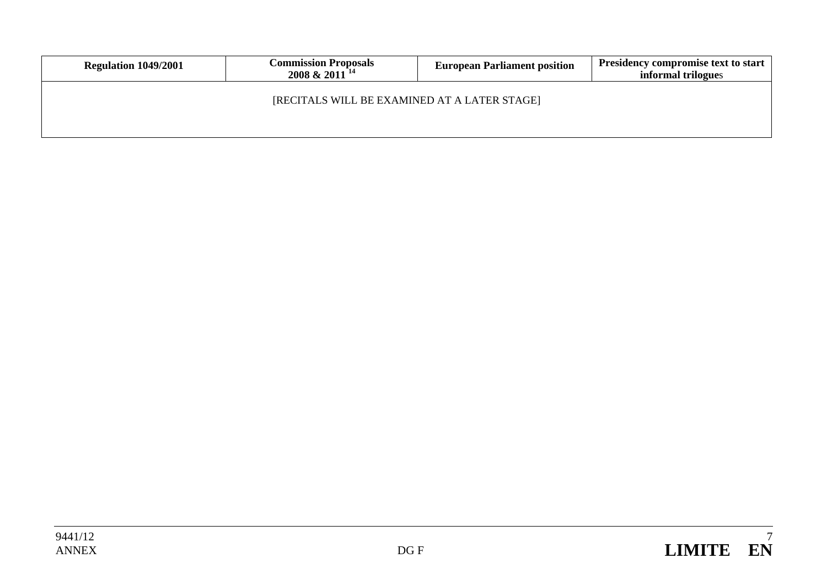| Regulation 1049/2001 | <b>Commission Proposals</b><br>$2008 \& 2011^{14}$ | <b>European Parliament position</b> | <b>Presidency compromise text to start</b><br>informal trilogues |
|----------------------|----------------------------------------------------|-------------------------------------|------------------------------------------------------------------|
|                      | [RECITALS WILL BE EXAMINED AT A LATER STAGE]       |                                     |                                                                  |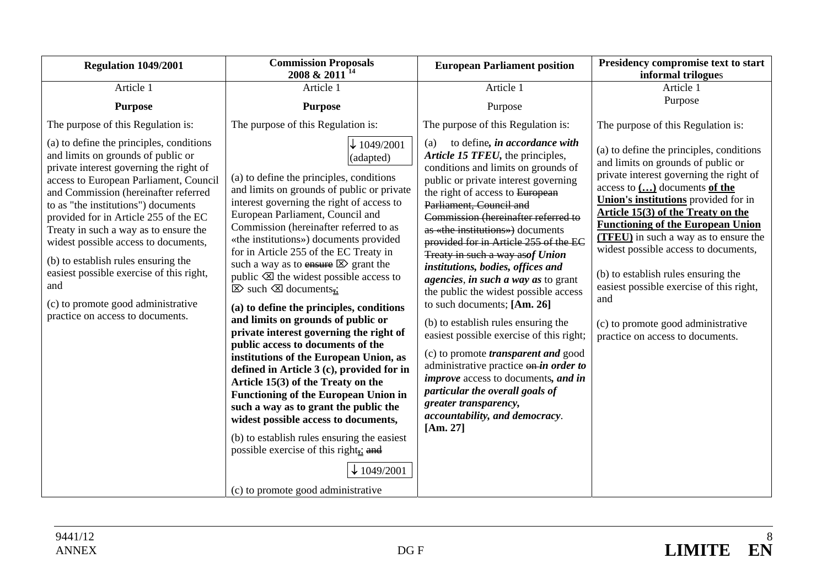| Regulation 1049/2001                                                                                                                                                                                                                                                                                                                                                                                                                                                                                                                             | <b>Commission Proposals</b><br>2008 & 2011 <sup>14</sup>                                                                                                                                                                                                                                                                                                                                                                                                                                                                                                                                                                                                                                                                                                                                                                                                                                                                                                                                                                                                                                 | <b>European Parliament position</b>                                                                                                                                                                                                                                                                                                                                                                                                                                                                                                                                                                                                                                                                                                                                                                                                                                 | Presidency compromise text to start<br>informal trilogues                                                                                                                                                                                                                                                                                                                                                                                                                                                                                          |
|--------------------------------------------------------------------------------------------------------------------------------------------------------------------------------------------------------------------------------------------------------------------------------------------------------------------------------------------------------------------------------------------------------------------------------------------------------------------------------------------------------------------------------------------------|------------------------------------------------------------------------------------------------------------------------------------------------------------------------------------------------------------------------------------------------------------------------------------------------------------------------------------------------------------------------------------------------------------------------------------------------------------------------------------------------------------------------------------------------------------------------------------------------------------------------------------------------------------------------------------------------------------------------------------------------------------------------------------------------------------------------------------------------------------------------------------------------------------------------------------------------------------------------------------------------------------------------------------------------------------------------------------------|---------------------------------------------------------------------------------------------------------------------------------------------------------------------------------------------------------------------------------------------------------------------------------------------------------------------------------------------------------------------------------------------------------------------------------------------------------------------------------------------------------------------------------------------------------------------------------------------------------------------------------------------------------------------------------------------------------------------------------------------------------------------------------------------------------------------------------------------------------------------|----------------------------------------------------------------------------------------------------------------------------------------------------------------------------------------------------------------------------------------------------------------------------------------------------------------------------------------------------------------------------------------------------------------------------------------------------------------------------------------------------------------------------------------------------|
| Article 1                                                                                                                                                                                                                                                                                                                                                                                                                                                                                                                                        | Article 1                                                                                                                                                                                                                                                                                                                                                                                                                                                                                                                                                                                                                                                                                                                                                                                                                                                                                                                                                                                                                                                                                | Article 1                                                                                                                                                                                                                                                                                                                                                                                                                                                                                                                                                                                                                                                                                                                                                                                                                                                           | Article 1                                                                                                                                                                                                                                                                                                                                                                                                                                                                                                                                          |
| <b>Purpose</b>                                                                                                                                                                                                                                                                                                                                                                                                                                                                                                                                   | <b>Purpose</b>                                                                                                                                                                                                                                                                                                                                                                                                                                                                                                                                                                                                                                                                                                                                                                                                                                                                                                                                                                                                                                                                           | Purpose                                                                                                                                                                                                                                                                                                                                                                                                                                                                                                                                                                                                                                                                                                                                                                                                                                                             | Purpose                                                                                                                                                                                                                                                                                                                                                                                                                                                                                                                                            |
| The purpose of this Regulation is:                                                                                                                                                                                                                                                                                                                                                                                                                                                                                                               | The purpose of this Regulation is:                                                                                                                                                                                                                                                                                                                                                                                                                                                                                                                                                                                                                                                                                                                                                                                                                                                                                                                                                                                                                                                       | The purpose of this Regulation is:                                                                                                                                                                                                                                                                                                                                                                                                                                                                                                                                                                                                                                                                                                                                                                                                                                  | The purpose of this Regulation is:                                                                                                                                                                                                                                                                                                                                                                                                                                                                                                                 |
| (a) to define the principles, conditions<br>and limits on grounds of public or<br>private interest governing the right of<br>access to European Parliament, Council<br>and Commission (hereinafter referred<br>to as "the institutions") documents<br>provided for in Article 255 of the EC<br>Treaty in such a way as to ensure the<br>widest possible access to documents,<br>(b) to establish rules ensuring the<br>easiest possible exercise of this right,<br>and<br>(c) to promote good administrative<br>practice on access to documents. | $\downarrow$ 1049/2001<br>(adapted)<br>(a) to define the principles, conditions<br>and limits on grounds of public or private<br>interest governing the right of access to<br>European Parliament, Council and<br>Commission (hereinafter referred to as<br>«the institutions») documents provided<br>for in Article 255 of the EC Treaty in<br>such a way as to $\frac{m}{2}$ grant the<br>public $\otimes$ the widest possible access to<br>$\boxtimes$ such $\boxtimes$ documents.<br>(a) to define the principles, conditions<br>and limits on grounds of public or<br>private interest governing the right of<br>public access to documents of the<br>institutions of the European Union, as<br>defined in Article 3 (c), provided for in<br>Article 15(3) of the Treaty on the<br><b>Functioning of the European Union in</b><br>such a way as to grant the public the<br>widest possible access to documents,<br>(b) to establish rules ensuring the easiest<br>possible exercise of this right $\frac{1}{2}$ and<br>$\downarrow$ 1049/2001<br>(c) to promote good administrative | to define, in accordance with<br>(a)<br>Article 15 TFEU, the principles,<br>conditions and limits on grounds of<br>public or private interest governing<br>the right of access to European<br>Parliament, Council and<br>Commission (hereinafter referred to<br>as «the institutions») documents<br>provided for in Article 255 of the EC<br>Treaty in such a way asof Union<br>institutions, bodies, offices and<br>agencies, in such a way as to grant<br>the public the widest possible access<br>to such documents; [Am. 26]<br>(b) to establish rules ensuring the<br>easiest possible exercise of this right;<br>(c) to promote <i>transparent and</i> good<br>administrative practice on-in order to<br><i>improve</i> access to documents, and in<br>particular the overall goals of<br>greater transparency,<br>accountability, and democracy.<br>[Am. 27] | (a) to define the principles, conditions<br>and limits on grounds of public or<br>private interest governing the right of<br>access to $()$ documents of the<br>Union's institutions provided for in<br>Article 15(3) of the Treaty on the<br><b>Functioning of the European Union</b><br><b>(TFEU)</b> in such a way as to ensure the<br>widest possible access to documents,<br>(b) to establish rules ensuring the<br>easiest possible exercise of this right,<br>and<br>(c) to promote good administrative<br>practice on access to documents. |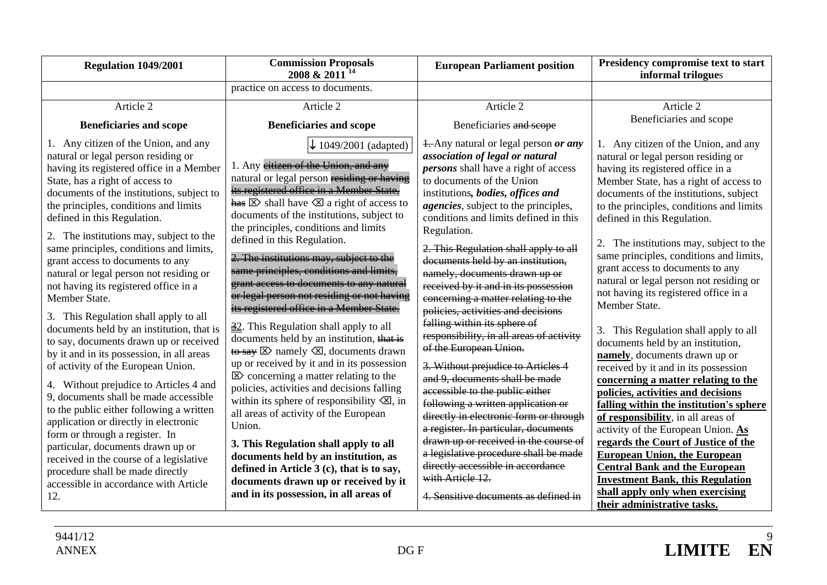| <b>Regulation 1049/2001</b>                                                                                                                                                                                                                                                                                                                                                                                                                                                                                                                                                                                                                                                                                                                                                                                                                                                                                                                                                                                                 | <b>Commission Proposals</b><br>2008 & 2011 <sup>14</sup>                                                                                                                                                                                                                                                                                                                                                                                                                                                                                                                                                                                                                                                                                                                                                                                                                                                                                                                                                                                                                                                                                          | <b>European Parliament position</b>                                                                                                                                                                                                                                                                                                                                                                                                                                                                                                                                                                                                                                                                                                                                                                                                                                                                                                                                            | Presidency compromise text to start<br>informal trilogues                                                                                                                                                                                                                                                                                                                                                                                                                                                                                                                                                                                                                                                                                                                                                                                                                                                                                                  |
|-----------------------------------------------------------------------------------------------------------------------------------------------------------------------------------------------------------------------------------------------------------------------------------------------------------------------------------------------------------------------------------------------------------------------------------------------------------------------------------------------------------------------------------------------------------------------------------------------------------------------------------------------------------------------------------------------------------------------------------------------------------------------------------------------------------------------------------------------------------------------------------------------------------------------------------------------------------------------------------------------------------------------------|---------------------------------------------------------------------------------------------------------------------------------------------------------------------------------------------------------------------------------------------------------------------------------------------------------------------------------------------------------------------------------------------------------------------------------------------------------------------------------------------------------------------------------------------------------------------------------------------------------------------------------------------------------------------------------------------------------------------------------------------------------------------------------------------------------------------------------------------------------------------------------------------------------------------------------------------------------------------------------------------------------------------------------------------------------------------------------------------------------------------------------------------------|--------------------------------------------------------------------------------------------------------------------------------------------------------------------------------------------------------------------------------------------------------------------------------------------------------------------------------------------------------------------------------------------------------------------------------------------------------------------------------------------------------------------------------------------------------------------------------------------------------------------------------------------------------------------------------------------------------------------------------------------------------------------------------------------------------------------------------------------------------------------------------------------------------------------------------------------------------------------------------|------------------------------------------------------------------------------------------------------------------------------------------------------------------------------------------------------------------------------------------------------------------------------------------------------------------------------------------------------------------------------------------------------------------------------------------------------------------------------------------------------------------------------------------------------------------------------------------------------------------------------------------------------------------------------------------------------------------------------------------------------------------------------------------------------------------------------------------------------------------------------------------------------------------------------------------------------------|
|                                                                                                                                                                                                                                                                                                                                                                                                                                                                                                                                                                                                                                                                                                                                                                                                                                                                                                                                                                                                                             | practice on access to documents.                                                                                                                                                                                                                                                                                                                                                                                                                                                                                                                                                                                                                                                                                                                                                                                                                                                                                                                                                                                                                                                                                                                  |                                                                                                                                                                                                                                                                                                                                                                                                                                                                                                                                                                                                                                                                                                                                                                                                                                                                                                                                                                                |                                                                                                                                                                                                                                                                                                                                                                                                                                                                                                                                                                                                                                                                                                                                                                                                                                                                                                                                                            |
| Article 2                                                                                                                                                                                                                                                                                                                                                                                                                                                                                                                                                                                                                                                                                                                                                                                                                                                                                                                                                                                                                   | Article 2                                                                                                                                                                                                                                                                                                                                                                                                                                                                                                                                                                                                                                                                                                                                                                                                                                                                                                                                                                                                                                                                                                                                         | Article 2                                                                                                                                                                                                                                                                                                                                                                                                                                                                                                                                                                                                                                                                                                                                                                                                                                                                                                                                                                      | Article 2                                                                                                                                                                                                                                                                                                                                                                                                                                                                                                                                                                                                                                                                                                                                                                                                                                                                                                                                                  |
| <b>Beneficiaries and scope</b>                                                                                                                                                                                                                                                                                                                                                                                                                                                                                                                                                                                                                                                                                                                                                                                                                                                                                                                                                                                              | <b>Beneficiaries and scope</b>                                                                                                                                                                                                                                                                                                                                                                                                                                                                                                                                                                                                                                                                                                                                                                                                                                                                                                                                                                                                                                                                                                                    | Beneficiaries and scope                                                                                                                                                                                                                                                                                                                                                                                                                                                                                                                                                                                                                                                                                                                                                                                                                                                                                                                                                        | Beneficiaries and scope                                                                                                                                                                                                                                                                                                                                                                                                                                                                                                                                                                                                                                                                                                                                                                                                                                                                                                                                    |
| 1. Any citizen of the Union, and any<br>natural or legal person residing or<br>having its registered office in a Member<br>State, has a right of access to<br>documents of the institutions, subject to<br>the principles, conditions and limits<br>defined in this Regulation.<br>2. The institutions may, subject to the<br>same principles, conditions and limits,<br>grant access to documents to any<br>natural or legal person not residing or<br>not having its registered office in a<br>Member State.<br>3. This Regulation shall apply to all<br>documents held by an institution, that is<br>to say, documents drawn up or received<br>by it and in its possession, in all areas<br>of activity of the European Union.<br>4. Without prejudice to Articles 4 and<br>9, documents shall be made accessible<br>to the public either following a written<br>application or directly in electronic<br>form or through a register. In<br>particular, documents drawn up or<br>received in the course of a legislative | $\downarrow$ 1049/2001 (adapted)<br>1. Any eitizen of the Union, and any<br>natural or legal person residing or having<br>its registered office in a Member State,<br>$\frac{\text{has}}{\text{8}}$ S shall have $\text{8}$ a right of access to<br>documents of the institutions, subject to<br>the principles, conditions and limits<br>defined in this Regulation.<br>2. The institutions may, subject to the<br>same principles, conditions and limits,<br>grant access to documents to any natural<br>or legal person not residing or not having<br>its registered office in a Member State.<br>32. This Regulation shall apply to all<br>documents held by an institution, that is<br>$\overline{\text{to say}}$ $\overline{\text{Z}}$ namely $\overline{\text{Z}}$ , documents drawn<br>up or received by it and in its possession<br>$\mathbb{Z}$ concerning a matter relating to the<br>policies, activities and decisions falling<br>within its sphere of responsibility $\langle \Xi \rangle$ , in<br>all areas of activity of the European<br>Union.<br>3. This Regulation shall apply to all<br>documents held by an institution, as | <b>1.</b> Any natural or legal person <i>or any</i><br>association of legal or natural<br><i>persons</i> shall have a right of access<br>to documents of the Union<br>institutions, bodies, offices and<br><i>agencies</i> , subject to the principles,<br>conditions and limits defined in this<br>Regulation.<br>2. This Regulation shall apply to all<br>documents held by an institution,<br>namely, documents drawn up or<br>received by it and in its possession<br>concerning a matter relating to the<br>policies, activities and decisions<br>falling within its sphere of<br>responsibility, in all areas of activity<br>of the European Union.<br>3. Without prejudice to Articles 4<br>and 9, documents shall be made<br>accessible to the public either<br>following a written application or<br>directly in electronic form or through<br>a register. In particular, documents<br>drawn up or received in the course of<br>a legislative procedure shall be made | 1. Any citizen of the Union, and any<br>natural or legal person residing or<br>having its registered office in a<br>Member State, has a right of access to<br>documents of the institutions, subject<br>to the principles, conditions and limits<br>defined in this Regulation.<br>2. The institutions may, subject to the<br>same principles, conditions and limits,<br>grant access to documents to any<br>natural or legal person not residing or<br>not having its registered office in a<br>Member State.<br>This Regulation shall apply to all<br>3.<br>documents held by an institution,<br>namely, documents drawn up or<br>received by it and in its possession<br>concerning a matter relating to the<br>policies, activities and decisions<br>falling within the institution's sphere<br>of responsibility, in all areas of<br>activity of the European Union. As<br>regards the Court of Justice of the<br><b>European Union, the European</b> |
| procedure shall be made directly                                                                                                                                                                                                                                                                                                                                                                                                                                                                                                                                                                                                                                                                                                                                                                                                                                                                                                                                                                                            | defined in Article 3 (c), that is to say,                                                                                                                                                                                                                                                                                                                                                                                                                                                                                                                                                                                                                                                                                                                                                                                                                                                                                                                                                                                                                                                                                                         | directly accessible in accordance<br>with Article 12.                                                                                                                                                                                                                                                                                                                                                                                                                                                                                                                                                                                                                                                                                                                                                                                                                                                                                                                          | <b>Central Bank and the European</b><br><b>Investment Bank, this Regulation</b>                                                                                                                                                                                                                                                                                                                                                                                                                                                                                                                                                                                                                                                                                                                                                                                                                                                                            |
| accessible in accordance with Article                                                                                                                                                                                                                                                                                                                                                                                                                                                                                                                                                                                                                                                                                                                                                                                                                                                                                                                                                                                       | documents drawn up or received by it                                                                                                                                                                                                                                                                                                                                                                                                                                                                                                                                                                                                                                                                                                                                                                                                                                                                                                                                                                                                                                                                                                              |                                                                                                                                                                                                                                                                                                                                                                                                                                                                                                                                                                                                                                                                                                                                                                                                                                                                                                                                                                                | shall apply only when exercising                                                                                                                                                                                                                                                                                                                                                                                                                                                                                                                                                                                                                                                                                                                                                                                                                                                                                                                           |
| 12.                                                                                                                                                                                                                                                                                                                                                                                                                                                                                                                                                                                                                                                                                                                                                                                                                                                                                                                                                                                                                         | and in its possession, in all areas of                                                                                                                                                                                                                                                                                                                                                                                                                                                                                                                                                                                                                                                                                                                                                                                                                                                                                                                                                                                                                                                                                                            | 4. Sensitive documents as defined in                                                                                                                                                                                                                                                                                                                                                                                                                                                                                                                                                                                                                                                                                                                                                                                                                                                                                                                                           | their administrative tasks.                                                                                                                                                                                                                                                                                                                                                                                                                                                                                                                                                                                                                                                                                                                                                                                                                                                                                                                                |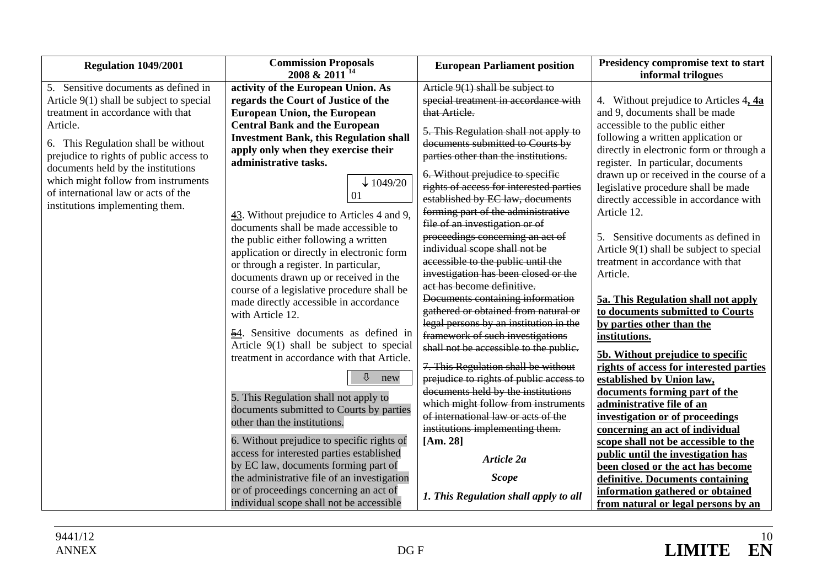| Regulation 1049/2001                       | <b>Commission Proposals</b>                        | <b>European Parliament position</b>     | Presidency compromise text to start      |
|--------------------------------------------|----------------------------------------------------|-----------------------------------------|------------------------------------------|
|                                            | 2008 & 2011 <sup>14</sup>                          |                                         | informal trilogues                       |
| 5. Sensitive documents as defined in       | activity of the European Union. As                 | Article 9(1) shall be subject to        |                                          |
| Article $9(1)$ shall be subject to special | regards the Court of Justice of the                | special treatment in accordance with    | 4. Without prejudice to Articles $4, 4a$ |
| treatment in accordance with that          | <b>European Union, the European</b>                | that Article.                           | and 9, documents shall be made           |
| Article.                                   | <b>Central Bank and the European</b>               | 5. This Regulation shall not apply to   | accessible to the public either          |
| 6. This Regulation shall be without        | <b>Investment Bank, this Regulation shall</b>      | documents submitted to Courts by        | following a written application or       |
| prejudice to rights of public access to    | apply only when they exercise their                | parties other than the institutions.    | directly in electronic form or through a |
| documents held by the institutions         | administrative tasks.                              |                                         | register. In particular, documents       |
| which might follow from instruments        |                                                    | 6. Without prejudice to specific        | drawn up or received in the course of a  |
| of international law or acts of the        | $\downarrow$ 1049/20                               | rights of access for interested parties | legislative procedure shall be made      |
| institutions implementing them.            | 01                                                 | established by EC law, documents        | directly accessible in accordance with   |
|                                            | 43. Without prejudice to Articles 4 and 9,         | forming part of the administrative      | Article 12.                              |
|                                            | documents shall be made accessible to              | file of an investigation or of          |                                          |
|                                            | the public either following a written              | proceedings concerning an act of        | 5. Sensitive documents as defined in     |
|                                            | application or directly in electronic form         | individual scope shall not be           | Article 9(1) shall be subject to special |
|                                            | or through a register. In particular,              | accessible to the public until the      | treatment in accordance with that        |
|                                            | documents drawn up or received in the              | investigation has been closed or the    | Article.                                 |
|                                            | course of a legislative procedure shall be         | act has become definitive.              |                                          |
|                                            | made directly accessible in accordance             | Documents containing information        | 5a. This Regulation shall not apply      |
|                                            | with Article 12.                                   | gathered or obtained from natural or    | to documents submitted to Courts         |
|                                            |                                                    | legal persons by an institution in the  | by parties other than the                |
|                                            | $\frac{54}{2}$ . Sensitive documents as defined in | framework of such investigations        | institutions.                            |
|                                            | Article 9(1) shall be subject to special           | shall not be accessible to the public.  | 5b. Without prejudice to specific        |
|                                            | treatment in accordance with that Article.         | 7. This Regulation shall be without     | rights of access for interested parties  |
|                                            | ⇩<br>new                                           | prejudice to rights of public access to | established by Union law,                |
|                                            |                                                    | documents held by the institutions      | documents forming part of the            |
|                                            | 5. This Regulation shall not apply to              | which might follow from instruments     | administrative file of an                |
|                                            | documents submitted to Courts by parties           | of international law or acts of the     | investigation or of proceedings          |
|                                            | other than the institutions.                       | institutions implementing them.         | concerning an act of individual          |
|                                            | 6. Without prejudice to specific rights of         | [Am. 28]                                | scope shall not be accessible to the     |
|                                            | access for interested parties established          | Article 2a                              | public until the investigation has       |
|                                            | by EC law, documents forming part of               |                                         | been closed or the act has become        |
|                                            | the administrative file of an investigation        | <b>Scope</b>                            | definitive. Documents containing         |
|                                            | or of proceedings concerning an act of             | 1. This Regulation shall apply to all   | information gathered or obtained         |
|                                            | individual scope shall not be accessible           |                                         | from natural or legal persons by an      |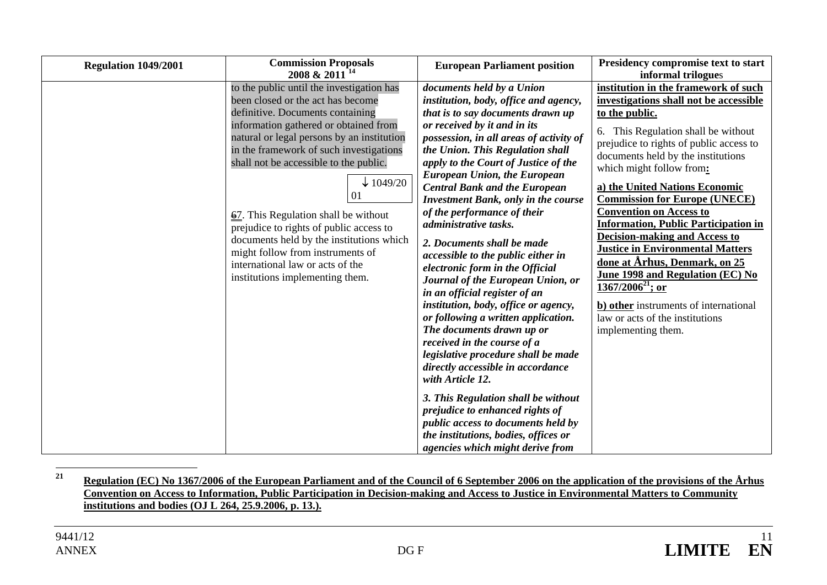| <b>Regulation 1049/2001</b> | <b>Commission Proposals</b><br>2008 & 2011 <sup>14</sup>                                                                                                                                                                                                                                                                                                                                                                                                                                                                                                                            | <b>European Parliament position</b>                                                                                                                                                                                                                                                                                                                                                                                                                                                                                                                                                                                                                                                                                                                                                                                                                                                                                                                                                                                                                                            | Presidency compromise text to start<br>informal trilogues                                                                                                                                                                                                                                                                                                                                                                                                                                                                                                                                                                                                                                             |
|-----------------------------|-------------------------------------------------------------------------------------------------------------------------------------------------------------------------------------------------------------------------------------------------------------------------------------------------------------------------------------------------------------------------------------------------------------------------------------------------------------------------------------------------------------------------------------------------------------------------------------|--------------------------------------------------------------------------------------------------------------------------------------------------------------------------------------------------------------------------------------------------------------------------------------------------------------------------------------------------------------------------------------------------------------------------------------------------------------------------------------------------------------------------------------------------------------------------------------------------------------------------------------------------------------------------------------------------------------------------------------------------------------------------------------------------------------------------------------------------------------------------------------------------------------------------------------------------------------------------------------------------------------------------------------------------------------------------------|-------------------------------------------------------------------------------------------------------------------------------------------------------------------------------------------------------------------------------------------------------------------------------------------------------------------------------------------------------------------------------------------------------------------------------------------------------------------------------------------------------------------------------------------------------------------------------------------------------------------------------------------------------------------------------------------------------|
|                             | to the public until the investigation has<br>been closed or the act has become<br>definitive. Documents containing<br>information gathered or obtained from<br>natural or legal persons by an institution<br>in the framework of such investigations<br>shall not be accessible to the public.<br>$\downarrow$ 1049/20<br>01<br>$\frac{67}{2}$ . This Regulation shall be without<br>prejudice to rights of public access to<br>documents held by the institutions which<br>might follow from instruments of<br>international law or acts of the<br>institutions implementing them. | documents held by a Union<br>institution, body, office and agency,<br>that is to say documents drawn up<br>or received by it and in its<br>possession, in all areas of activity of<br>the Union. This Regulation shall<br>apply to the Court of Justice of the<br><b>European Union, the European</b><br><b>Central Bank and the European</b><br><b>Investment Bank, only in the course</b><br>of the performance of their<br>administrative tasks.<br>2. Documents shall be made<br>accessible to the public either in<br>electronic form in the Official<br>Journal of the European Union, or<br>in an official register of an<br>institution, body, office or agency,<br>or following a written application.<br>The documents drawn up or<br>received in the course of a<br>legislative procedure shall be made<br>directly accessible in accordance<br>with Article 12.<br>3. This Regulation shall be without<br>prejudice to enhanced rights of<br><i>public access to documents held by</i><br>the institutions, bodies, offices or<br>agencies which might derive from | institution in the framework of such<br>investigations shall not be accessible<br>to the public.<br>This Regulation shall be without<br>6.<br>prejudice to rights of public access to<br>documents held by the institutions<br>which might follow from:<br>a) the United Nations Economic<br><b>Commission for Europe (UNECE)</b><br><b>Convention on Access to</b><br><b>Information, Public Participation in</b><br><b>Decision-making and Access to</b><br><b>Justice in Environmental Matters</b><br>done at Arhus, Denmark, on 25<br>June 1998 and Regulation (EC) No<br>$1367/2006^{21}$ ; or<br>b) other instruments of international<br>law or acts of the institutions<br>implementing them. |

**<sup>21</sup> Regulation (EC) No 1367/2006 of the European Parliament and of the Council of 6 September 2006 on the application of the provisions of the Århus Convention on Access to Information, Public Participation in Decision-making and Access to Justice in Environmental Matters to Community institutions and bodies (OJ L 264, 25.9.2006, p. 13.).**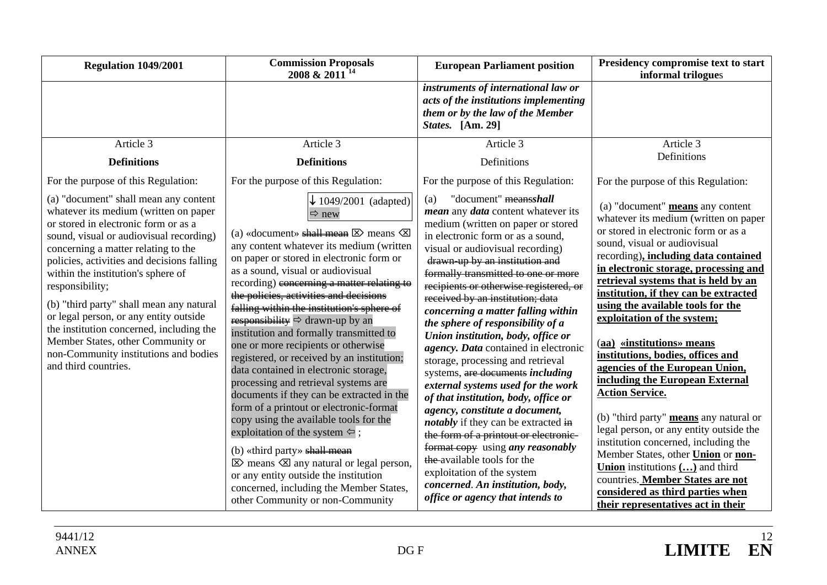| <b>Regulation 1049/2001</b>                                                                                                                                                                                                                                                                                                                                                                                                                                                                                                                             | <b>Commission Proposals</b><br>2008 & 2011 <sup>14</sup>                                                                                                                                                                                                                                                                                                                                                                                                                                                                                                                                                                                                                                                                                                                                                                                                                                                                                                                                                                                                        | <b>European Parliament position</b>                                                                                                                                                                                                                                                                                                                                                                                                                                                                                                                                                                                                                                                                                                                                                                                                                                                                                                                        | Presidency compromise text to start<br>informal trilogues                                                                                                                                                                                                                                                                                                                                                                                                                                                                                                                                                                                                                                                                                                                                                                                                                                        |
|---------------------------------------------------------------------------------------------------------------------------------------------------------------------------------------------------------------------------------------------------------------------------------------------------------------------------------------------------------------------------------------------------------------------------------------------------------------------------------------------------------------------------------------------------------|-----------------------------------------------------------------------------------------------------------------------------------------------------------------------------------------------------------------------------------------------------------------------------------------------------------------------------------------------------------------------------------------------------------------------------------------------------------------------------------------------------------------------------------------------------------------------------------------------------------------------------------------------------------------------------------------------------------------------------------------------------------------------------------------------------------------------------------------------------------------------------------------------------------------------------------------------------------------------------------------------------------------------------------------------------------------|------------------------------------------------------------------------------------------------------------------------------------------------------------------------------------------------------------------------------------------------------------------------------------------------------------------------------------------------------------------------------------------------------------------------------------------------------------------------------------------------------------------------------------------------------------------------------------------------------------------------------------------------------------------------------------------------------------------------------------------------------------------------------------------------------------------------------------------------------------------------------------------------------------------------------------------------------------|--------------------------------------------------------------------------------------------------------------------------------------------------------------------------------------------------------------------------------------------------------------------------------------------------------------------------------------------------------------------------------------------------------------------------------------------------------------------------------------------------------------------------------------------------------------------------------------------------------------------------------------------------------------------------------------------------------------------------------------------------------------------------------------------------------------------------------------------------------------------------------------------------|
|                                                                                                                                                                                                                                                                                                                                                                                                                                                                                                                                                         |                                                                                                                                                                                                                                                                                                                                                                                                                                                                                                                                                                                                                                                                                                                                                                                                                                                                                                                                                                                                                                                                 | instruments of international law or<br>acts of the institutions implementing<br>them or by the law of the Member<br>States. [Am. 29]                                                                                                                                                                                                                                                                                                                                                                                                                                                                                                                                                                                                                                                                                                                                                                                                                       |                                                                                                                                                                                                                                                                                                                                                                                                                                                                                                                                                                                                                                                                                                                                                                                                                                                                                                  |
| Article 3                                                                                                                                                                                                                                                                                                                                                                                                                                                                                                                                               | Article 3                                                                                                                                                                                                                                                                                                                                                                                                                                                                                                                                                                                                                                                                                                                                                                                                                                                                                                                                                                                                                                                       | Article 3                                                                                                                                                                                                                                                                                                                                                                                                                                                                                                                                                                                                                                                                                                                                                                                                                                                                                                                                                  | Article 3                                                                                                                                                                                                                                                                                                                                                                                                                                                                                                                                                                                                                                                                                                                                                                                                                                                                                        |
| <b>Definitions</b>                                                                                                                                                                                                                                                                                                                                                                                                                                                                                                                                      | <b>Definitions</b>                                                                                                                                                                                                                                                                                                                                                                                                                                                                                                                                                                                                                                                                                                                                                                                                                                                                                                                                                                                                                                              | Definitions                                                                                                                                                                                                                                                                                                                                                                                                                                                                                                                                                                                                                                                                                                                                                                                                                                                                                                                                                | Definitions                                                                                                                                                                                                                                                                                                                                                                                                                                                                                                                                                                                                                                                                                                                                                                                                                                                                                      |
| For the purpose of this Regulation:                                                                                                                                                                                                                                                                                                                                                                                                                                                                                                                     | For the purpose of this Regulation:                                                                                                                                                                                                                                                                                                                                                                                                                                                                                                                                                                                                                                                                                                                                                                                                                                                                                                                                                                                                                             | For the purpose of this Regulation:                                                                                                                                                                                                                                                                                                                                                                                                                                                                                                                                                                                                                                                                                                                                                                                                                                                                                                                        | For the purpose of this Regulation:                                                                                                                                                                                                                                                                                                                                                                                                                                                                                                                                                                                                                                                                                                                                                                                                                                                              |
| (a) "document" shall mean any content<br>whatever its medium (written on paper<br>or stored in electronic form or as a<br>sound, visual or audiovisual recording)<br>concerning a matter relating to the<br>policies, activities and decisions falling<br>within the institution's sphere of<br>responsibility;<br>(b) "third party" shall mean any natural<br>or legal person, or any entity outside<br>the institution concerned, including the<br>Member States, other Community or<br>non-Community institutions and bodies<br>and third countries. | $\downarrow$ 1049/2001 (adapted)<br>$\Rightarrow$ new<br>(a) «document» shall mean $\boxtimes$ means $\boxtimes$<br>any content whatever its medium (written<br>on paper or stored in electronic form or<br>as a sound, visual or audiovisual<br>recording) eoncerning a matter relating to<br>the policies, activities and decisions<br>falling within the institution's sphere of<br>responsibility $\Rightarrow$ drawn-up by an<br>institution and formally transmitted to<br>one or more recipients or otherwise<br>registered, or received by an institution;<br>data contained in electronic storage,<br>processing and retrieval systems are<br>documents if they can be extracted in the<br>form of a printout or electronic-format<br>copy using the available tools for the<br>exploitation of the system $\Leftrightarrow$ ;<br>$(b)$ «third party» shall mean<br>$\boxtimes$ means $\boxtimes$ any natural or legal person,<br>or any entity outside the institution<br>concerned, including the Member States,<br>other Community or non-Community | "document" meansshall<br>(a)<br>mean any data content whatever its<br>medium (written on paper or stored<br>in electronic form or as a sound,<br>visual or audiovisual recording)<br>drawn-up by an institution and<br>formally transmitted to one or more<br>recipients or otherwise registered, or<br>received by an institution; data<br>concerning a matter falling within<br>the sphere of responsibility of a<br>Union institution, body, office or<br>agency. Data contained in electronic<br>storage, processing and retrieval<br>systems, are documents including<br>external systems used for the work<br>of that institution, body, office or<br>agency, constitute a document,<br><i>notably</i> if they can be extracted in<br>the form of a printout or electronic-<br>format copy using any reasonably<br>the available tools for the<br>exploitation of the system<br>concerned. An institution, body,<br>office or agency that intends to | (a) "document" means any content<br>whatever its medium (written on paper<br>or stored in electronic form or as a<br>sound, visual or audiovisual<br>recording), including data contained<br>in electronic storage, processing and<br>retrieval systems that is held by an<br>institution, if they can be extracted<br>using the available tools for the<br>exploitation of the system;<br>(aa) «institutions» means<br>institutions, bodies, offices and<br>agencies of the European Union,<br>including the European External<br><b>Action Service.</b><br>(b) "third party" means any natural or<br>legal person, or any entity outside the<br>institution concerned, including the<br>Member States, other <i>Union</i> or non-<br><b>Union</b> institutions $($ $)$ and third<br>countries. Member States are not<br>considered as third parties when<br>their representatives act in their |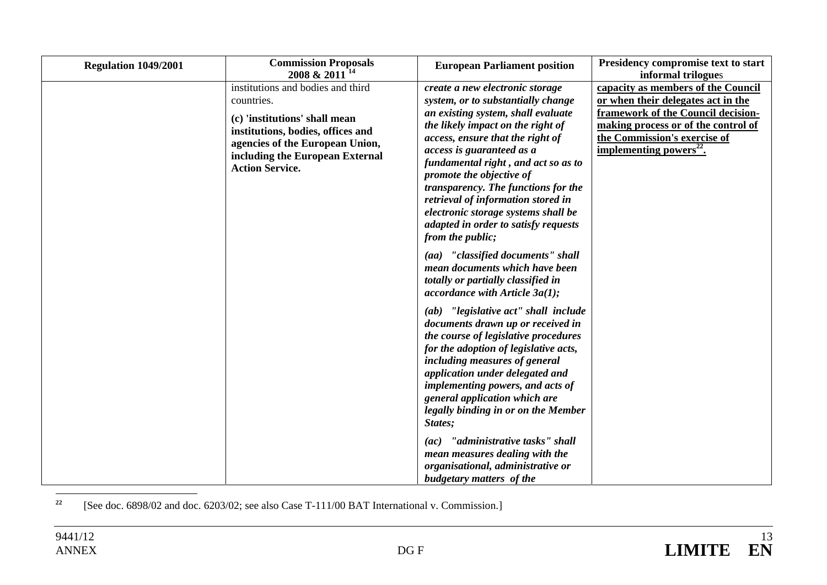| Regulation 1049/2001 | <b>Commission Proposals</b><br>2008 & 2011 <sup>14</sup>                                                                                                                                                              | <b>European Parliament position</b>                                                                                                                                                                                                                                                                                                                                                                                                                                  | Presidency compromise text to start<br>informal trilogues                                                                                                                                                                    |
|----------------------|-----------------------------------------------------------------------------------------------------------------------------------------------------------------------------------------------------------------------|----------------------------------------------------------------------------------------------------------------------------------------------------------------------------------------------------------------------------------------------------------------------------------------------------------------------------------------------------------------------------------------------------------------------------------------------------------------------|------------------------------------------------------------------------------------------------------------------------------------------------------------------------------------------------------------------------------|
|                      | institutions and bodies and third<br>countries.<br>(c) 'institutions' shall mean<br>institutions, bodies, offices and<br>agencies of the European Union,<br>including the European External<br><b>Action Service.</b> | create a new electronic storage<br>system, or to substantially change<br>an existing system, shall evaluate<br>the likely impact on the right of<br>access, ensure that the right of<br>access is guaranteed as a<br>fundamental right, and act so as to<br>promote the objective of<br>transparency. The functions for the<br>retrieval of information stored in<br>electronic storage systems shall be<br>adapted in order to satisfy requests<br>from the public; | capacity as members of the Council<br>or when their delegates act in the<br>framework of the Council decision-<br>making process or of the control of<br>the Commission's exercise of<br>implementing powers <sup>22</sup> . |
|                      |                                                                                                                                                                                                                       | (aa) "classified documents" shall<br>mean documents which have been<br>totally or partially classified in<br>accordance with Article $3a(1)$ ;                                                                                                                                                                                                                                                                                                                       |                                                                                                                                                                                                                              |
|                      |                                                                                                                                                                                                                       | (ab) "legislative act" shall include<br>documents drawn up or received in<br>the course of legislative procedures<br>for the adoption of legislative acts,<br>including measures of general<br>application under delegated and<br>implementing powers, and acts of<br>general application which are<br>legally binding in or on the Member<br>States;                                                                                                                |                                                                                                                                                                                                                              |
|                      |                                                                                                                                                                                                                       | "administrative tasks" shall<br>(ac)<br>mean measures dealing with the<br>organisational, administrative or<br>budgetary matters of the                                                                                                                                                                                                                                                                                                                              |                                                                                                                                                                                                                              |

**22**[See doc. 6898/02 and doc. 6203/02; see also Case T-111/00 BAT International v. Commission.]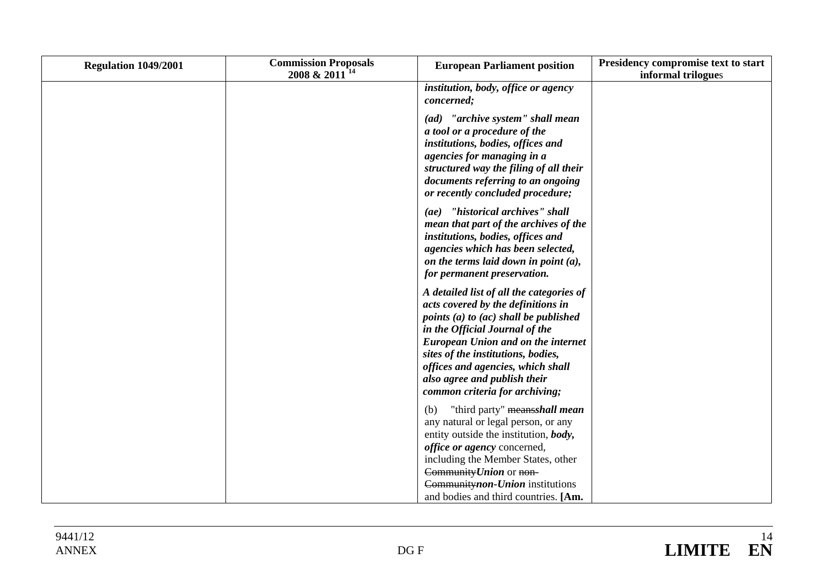| Regulation 1049/2001 | <b>Commission Proposals</b><br>2008 & 2011 <sup>14</sup> | <b>European Parliament position</b>                                                                                                                                                                                                                                                                                                                   | Presidency compromise text to start<br>informal trilogues |
|----------------------|----------------------------------------------------------|-------------------------------------------------------------------------------------------------------------------------------------------------------------------------------------------------------------------------------------------------------------------------------------------------------------------------------------------------------|-----------------------------------------------------------|
|                      |                                                          | institution, body, office or agency<br>concerned;                                                                                                                                                                                                                                                                                                     |                                                           |
|                      |                                                          | (ad) "archive system" shall mean<br>a tool or a procedure of the<br>institutions, bodies, offices and<br>agencies for managing in a<br>structured way the filing of all their<br>documents referring to an ongoing<br>or recently concluded procedure;                                                                                                |                                                           |
|                      |                                                          | (ae) "historical archives" shall<br>mean that part of the archives of the<br>institutions, bodies, offices and<br>agencies which has been selected,<br>on the terms laid down in point $(a)$ ,<br>for permanent preservation.                                                                                                                         |                                                           |
|                      |                                                          | A detailed list of all the categories of<br>acts covered by the definitions in<br>points (a) to $(ac)$ shall be published<br>in the Official Journal of the<br><b>European Union and on the internet</b><br>sites of the institutions, bodies,<br>offices and agencies, which shall<br>also agree and publish their<br>common criteria for archiving; |                                                           |
|                      |                                                          | "third party" meansshall mean<br>(b)<br>any natural or legal person, or any<br>entity outside the institution, body,<br>office or agency concerned,<br>including the Member States, other<br>Community Union or non-<br>Communitynon-Union institutions<br>and bodies and third countries. [Am.                                                       |                                                           |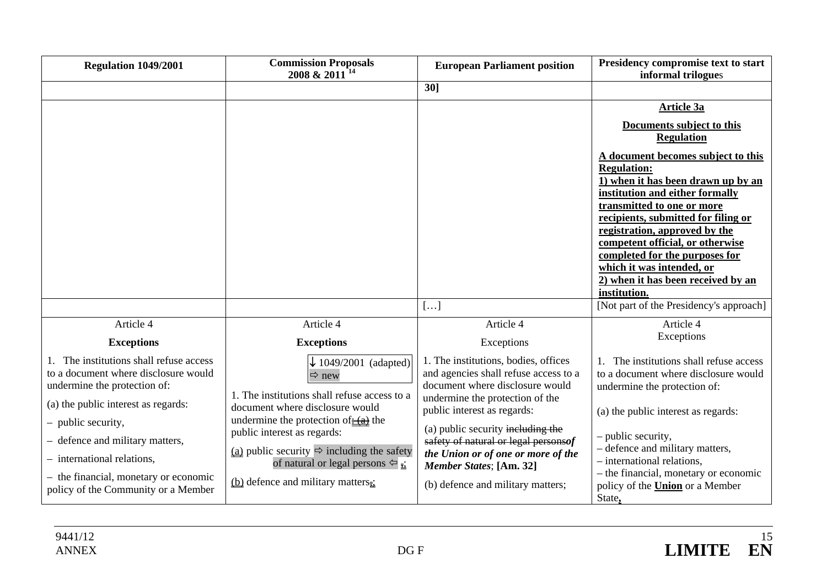| Regulation 1049/2001                                                                                                                                                | <b>Commission Proposals</b><br>2008 & 2011 <sup>14</sup>                                                                                                                                                                                         | <b>European Parliament position</b>                                                                                                                                                    | Presidency compromise text to start<br>informal trilogues                                                                                                                                                                                                                                                                                                                                        |
|---------------------------------------------------------------------------------------------------------------------------------------------------------------------|--------------------------------------------------------------------------------------------------------------------------------------------------------------------------------------------------------------------------------------------------|----------------------------------------------------------------------------------------------------------------------------------------------------------------------------------------|--------------------------------------------------------------------------------------------------------------------------------------------------------------------------------------------------------------------------------------------------------------------------------------------------------------------------------------------------------------------------------------------------|
|                                                                                                                                                                     |                                                                                                                                                                                                                                                  | 30]                                                                                                                                                                                    |                                                                                                                                                                                                                                                                                                                                                                                                  |
|                                                                                                                                                                     |                                                                                                                                                                                                                                                  |                                                                                                                                                                                        | <b>Article 3a</b>                                                                                                                                                                                                                                                                                                                                                                                |
|                                                                                                                                                                     |                                                                                                                                                                                                                                                  |                                                                                                                                                                                        | Documents subject to this<br><b>Regulation</b>                                                                                                                                                                                                                                                                                                                                                   |
|                                                                                                                                                                     |                                                                                                                                                                                                                                                  |                                                                                                                                                                                        | A document becomes subject to this<br><b>Regulation:</b><br>1) when it has been drawn up by an<br>institution and either formally<br>transmitted to one or more<br>recipients, submitted for filing or<br>registration, approved by the<br>competent official, or otherwise<br>completed for the purposes for<br>which it was intended, or<br>2) when it has been received by an<br>institution. |
|                                                                                                                                                                     |                                                                                                                                                                                                                                                  | []                                                                                                                                                                                     | [Not part of the Presidency's approach]                                                                                                                                                                                                                                                                                                                                                          |
| Article 4                                                                                                                                                           | Article 4                                                                                                                                                                                                                                        | Article 4                                                                                                                                                                              | Article 4<br>Exceptions                                                                                                                                                                                                                                                                                                                                                                          |
| <b>Exceptions</b>                                                                                                                                                   | <b>Exceptions</b>                                                                                                                                                                                                                                | Exceptions                                                                                                                                                                             |                                                                                                                                                                                                                                                                                                                                                                                                  |
| The institutions shall refuse access<br>to a document where disclosure would<br>undermine the protection of:<br>(a) the public interest as regards:                 | $\downarrow$ 1049/2001 (adapted)<br>$\Rightarrow$ new<br>1. The institutions shall refuse access to a<br>document where disclosure would                                                                                                         | 1. The institutions, bodies, offices<br>and agencies shall refuse access to a<br>document where disclosure would<br>undermine the protection of the<br>public interest as regards:     | The institutions shall refuse access<br>to a document where disclosure would<br>undermine the protection of:<br>(a) the public interest as regards:                                                                                                                                                                                                                                              |
| - public security,<br>- defence and military matters,<br>- international relations,<br>- the financial, monetary or economic<br>policy of the Community or a Member | undermine the protection of $\frac{1}{2}$ the<br>public interest as regards:<br>(a) public security $\Rightarrow$ including the safety<br>of natural or legal persons $\Leftrightarrow$ $\frac{1}{24}$<br>(b) defence and military matters $\pm$ | (a) public security including the<br>safety of natural or legal personsof<br>the Union or of one or more of the<br><b>Member States; [Am. 32]</b><br>(b) defence and military matters; | - public security,<br>- defence and military matters,<br>- international relations,<br>- the financial, monetary or economic<br>policy of the <b>Union</b> or a Member<br>State,                                                                                                                                                                                                                 |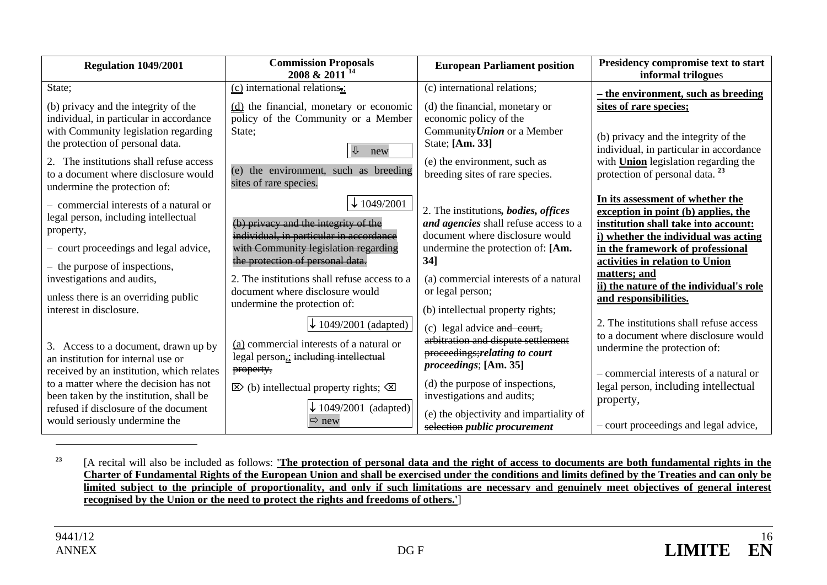| Regulation 1049/2001                                                                                                                                                                                          | <b>Commission Proposals</b><br>2008 & 2011 <sup>14</sup>                                                                                                         | <b>European Parliament position</b>                                                                                                                                        | Presidency compromise text to start<br>informal trilogues                                                                                                                                       |
|---------------------------------------------------------------------------------------------------------------------------------------------------------------------------------------------------------------|------------------------------------------------------------------------------------------------------------------------------------------------------------------|----------------------------------------------------------------------------------------------------------------------------------------------------------------------------|-------------------------------------------------------------------------------------------------------------------------------------------------------------------------------------------------|
| State;<br>(b) privacy and the integrity of the<br>individual, in particular in accordance<br>with Community legislation regarding<br>the protection of personal data.<br>The institutions shall refuse access | (c) international relations <sub><math>\vec{x}</math></sub> :<br>(d) the financial, monetary or economic<br>policy of the Community or a Member<br>State:<br>new | (c) international relations;<br>(d) the financial, monetary or<br>economic policy of the<br>Community Union or a Member<br>State; [Am. 33]<br>(e) the environment, such as | - the environment, such as breeding<br>sites of rare species;<br>(b) privacy and the integrity of the<br>individual, in particular in accordance<br>with <b>Union</b> legislation regarding the |
| to a document where disclosure would<br>undermine the protection of:<br>- commercial interests of a natural or                                                                                                | (e) the environment, such as breeding<br>sites of rare species.<br>$\downarrow$ 1049/2001                                                                        | breeding sites of rare species.                                                                                                                                            | protection of personal data. <sup>23</sup><br>In its assessment of whether the                                                                                                                  |
| legal person, including intellectual<br>property,<br>- court proceedings and legal advice,                                                                                                                    | (b) privacy and the integrity of the<br>individual, in particular in accordance<br>with Community legislation regarding                                          | 2. The institutions, bodies, offices<br>and agencies shall refuse access to a<br>document where disclosure would<br>undermine the protection of: [Am.<br>$34$ ]            | exception in point (b) applies, the<br>institution shall take into account:<br>i) whether the individual was acting<br>in the framework of professional                                         |
| - the purpose of inspections,<br>investigations and audits,<br>unless there is an overriding public<br>interest in disclosure.                                                                                | the protection of personal data.<br>2. The institutions shall refuse access to a<br>document where disclosure would<br>undermine the protection of:              | (a) commercial interests of a natural<br>or legal person;<br>(b) intellectual property rights;                                                                             | activities in relation to Union<br>matters; and<br>ii) the nature of the individual's role<br>and responsibilities.                                                                             |
| 3. Access to a document, drawn up by<br>an institution for internal use or<br>received by an institution, which relates                                                                                       | $\downarrow$ 1049/2001 (adapted)<br>(a) commercial interests of a natural or<br>legal person <sub>z</sub> ; including intellectual<br>property,                  | (c) legal advice and court,<br>arbitration and dispute settlement<br>proceedings; relating to court<br><i>proceedings</i> ; [Am. 35]                                       | 2. The institutions shall refuse access<br>to a document where disclosure would<br>undermine the protection of:<br>- commercial interests of a natural or                                       |
| to a matter where the decision has not<br>been taken by the institution, shall be<br>refused if disclosure of the document<br>would seriously undermine the                                                   | $\boxtimes$ (b) intellectual property rights; $\boxtimes$<br>$\downarrow$ 1049/2001 (adapted)<br>$\Rightarrow$ new                                               | (d) the purpose of inspections,<br>investigations and audits;<br>(e) the objectivity and impartiality of<br>selection public procurement                                   | legal person, including intellectual<br>property,<br>- court proceedings and legal advice,                                                                                                      |

**23** [A recital will also be included as follows: **'The protection of personal data and the right of access to documents are both fundamental rights in the Charter of Fundamental Rights of the European Union and shall be exercised under the conditions and limits defined by the Treaties and can only be limited subject to the principle of proportionality, and only if such limitations are necessary and genuinely meet objectives of general interest recognised by the Union or the need to protect the rights and freedoms of others.'**]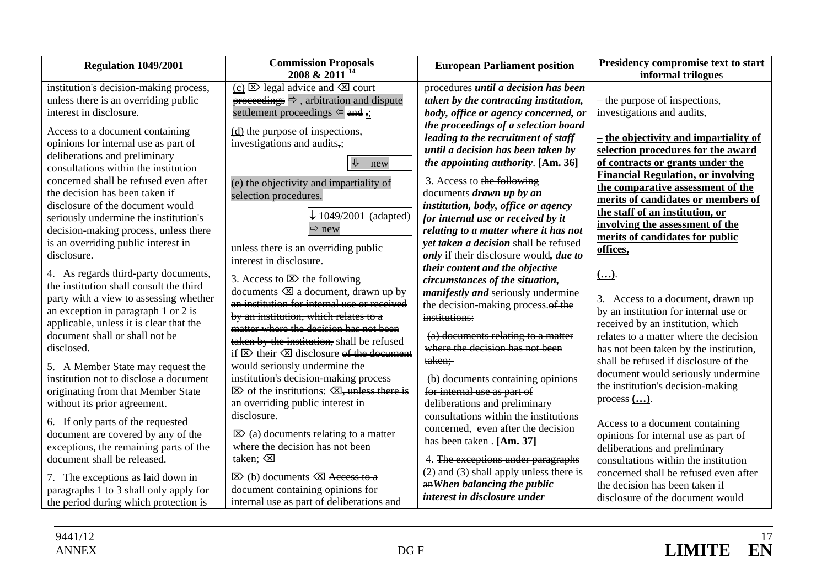| <b>Regulation 1049/2001</b>                                                                                                                                                                                 | <b>Commission Proposals</b><br>2008 & 2011 <sup>14</sup>                                                                                                                                                                                                                                             | <b>European Parliament position</b>                                                                                                                                                                               | Presidency compromise text to start<br>informal trilogues                                                                                                                                                                    |
|-------------------------------------------------------------------------------------------------------------------------------------------------------------------------------------------------------------|------------------------------------------------------------------------------------------------------------------------------------------------------------------------------------------------------------------------------------------------------------------------------------------------------|-------------------------------------------------------------------------------------------------------------------------------------------------------------------------------------------------------------------|------------------------------------------------------------------------------------------------------------------------------------------------------------------------------------------------------------------------------|
| institution's decision-making process,<br>unless there is an overriding public                                                                                                                              | (c) $\boxtimes$ legal advice and $\boxtimes$ court<br>$\rightarrow$ proceedings $\Rightarrow$ , arbitration and dispute                                                                                                                                                                              | procedures until a decision has been<br>taken by the contracting institution,                                                                                                                                     | - the purpose of inspections,                                                                                                                                                                                                |
| interest in disclosure.                                                                                                                                                                                     | settlement proceedings $\Leftrightarrow$ and =                                                                                                                                                                                                                                                       | body, office or agency concerned, or                                                                                                                                                                              | investigations and audits,                                                                                                                                                                                                   |
| Access to a document containing<br>opinions for internal use as part of<br>deliberations and preliminary<br>consultations within the institution<br>concerned shall be refused even after                   | $(d)$ the purpose of inspections,<br>investigations and audits $\frac{1}{2}$<br>⇩<br>new<br>(e) the objectivity and impartiality of                                                                                                                                                                  | the proceedings of a selection board<br>leading to the recruitment of staff<br>until a decision has been taken by<br><i>the appointing authority.</i> [Am. 36]<br>3. Access to the following                      | $-$ the objectivity and impartiality of<br>selection procedures for the award<br>of contracts or grants under the<br><b>Financial Regulation, or involving</b><br>the comparative assessment of the                          |
| the decision has been taken if<br>disclosure of the document would<br>seriously undermine the institution's<br>decision-making process, unless there<br>is an overriding public interest in<br>disclosure.  | selection procedures.<br>$\downarrow$ 1049/2001 (adapted)<br>$Arr$ new<br>unless there is an overriding public                                                                                                                                                                                       | documents <i>drawn</i> up by an<br>institution, body, office or agency<br>for internal use or received by it<br>relating to a matter where it has not<br>yet taken a decision shall be refused                    | merits of candidates or members of<br>the staff of an institution, or<br>involving the assessment of the<br>merits of candidates for public<br>offices,                                                                      |
| 4. As regards third-party documents,<br>the institution shall consult the third<br>party with a view to assessing whether<br>an exception in paragraph 1 or 2 is<br>applicable, unless it is clear that the | interest in disclosure.<br>3. Access to $\boxtimes$ the following<br>documents $\otimes$ a document, drawn up by<br>an institution for internal use or received<br>by an institution, which relates to a<br>matter where the decision has not been                                                   | only if their disclosure would, due to<br>their content and the objective<br>circumstances of the situation,<br><i>manifestly and seriously undermine</i><br>the decision-making process. of the<br>institutions: | $($ )<br>3. Access to a document, drawn up<br>by an institution for internal use or<br>received by an institution, which                                                                                                     |
| document shall or shall not be<br>disclosed.<br>5. A Member State may request the<br>institution not to disclose a document<br>originating from that Member State<br>without its prior agreement.           | taken by the institution, shall be refused<br>if $\boxtimes$ their $\boxtimes$ disclosure <del>of the document</del><br>would seriously undermine the<br>institution's decision-making process<br>$\boxtimes$ of the institutions: $\boxtimes$ , unless there is<br>an overriding public interest in | (a) documents relating to a matter<br>where the decision has not been<br>taken;<br>(b) documents containing opinions<br>for internal use as part of<br>deliberations and preliminary                              | relates to a matter where the decision<br>has not been taken by the institution,<br>shall be refused if disclosure of the<br>document would seriously undermine<br>the institution's decision-making<br>process $(\ldots)$ . |
| 6. If only parts of the requested<br>document are covered by any of the<br>exceptions, the remaining parts of the<br>document shall be released.                                                            | diselosure.<br>$\boxtimes$ (a) documents relating to a matter<br>where the decision has not been<br>taken; $\otimes$                                                                                                                                                                                 | consultations within the institutions<br>concerned, even after the decision<br>has been taken - [Am. 37]<br>4. The exceptions under paragraphs<br>$(2)$ and $(3)$ shall apply unless there is                     | Access to a document containing<br>opinions for internal use as part of<br>deliberations and preliminary<br>consultations within the institution<br>concerned shall be refused even after                                    |
| 7. The exceptions as laid down in<br>paragraphs 1 to 3 shall only apply for<br>the period during which protection is                                                                                        | $\boxtimes$ (b) documents $\boxtimes$ Access to a<br>document containing opinions for<br>internal use as part of deliberations and                                                                                                                                                                   | an When balancing the public<br>interest in disclosure under                                                                                                                                                      | the decision has been taken if<br>disclosure of the document would                                                                                                                                                           |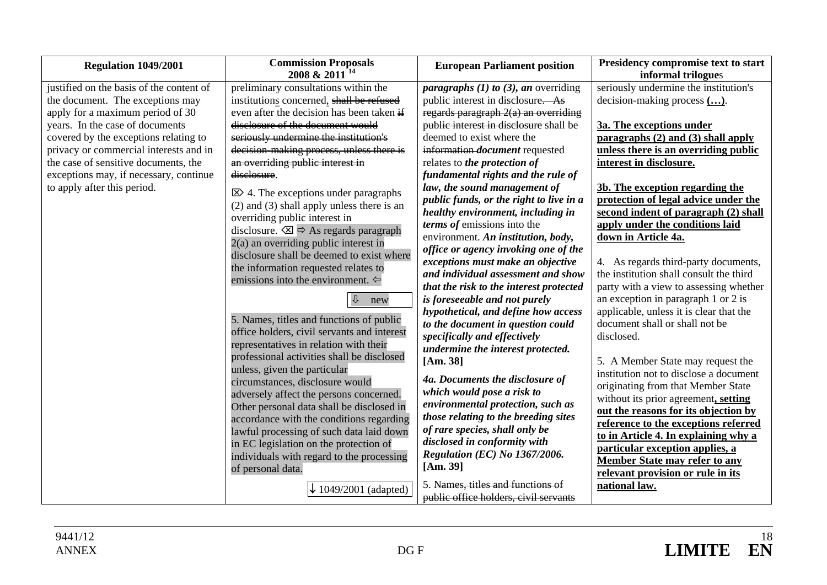| <b>Commission Proposals</b><br>Presidency compromise text to start<br><b>European Parliament position</b><br>Regulation 1049/2001                                        |  |
|--------------------------------------------------------------------------------------------------------------------------------------------------------------------------|--|
| 2008 & 2011 <sup>14</sup><br>informal trilogues                                                                                                                          |  |
| seriously undermine the institution's<br>justified on the basis of the content of<br>preliminary consultations within the<br><i>paragraphs (1) to (3), an overriding</i> |  |
| institutions concerned, shall be refused<br>public interest in disclosure. As<br>decision-making process ().<br>the document. The exceptions may                         |  |
| even after the decision has been taken if<br>regards paragraph $2(a)$ an overriding<br>apply for a maximum period of 30                                                  |  |
| disclosure of the document would<br>years. In the case of documents<br>public interest in disclosure shall be<br>3a. The exceptions under                                |  |
| seriously undermine the institution's<br>paragraphs $(2)$ and $(3)$ shall apply<br>covered by the exceptions relating to<br>deemed to exist where the                    |  |
| decision-making process, unless there is<br>information-document requested<br>unless there is an overriding public<br>privacy or commercial interests and in             |  |
| the case of sensitive documents, the<br>an overriding public interest in<br>relates to the protection of<br>interest in disclosure.                                      |  |
| exceptions may, if necessary, continue<br>diselosure.<br>fundamental rights and the rule of                                                                              |  |
| to apply after this period.<br>law, the sound management of<br>3b. The exception regarding the<br>$\boxtimes$ 4. The exceptions under paragraphs                         |  |
| protection of legal advice under the<br>public funds, or the right to live in a<br>$(2)$ and $(3)$ shall apply unless there is an                                        |  |
| second indent of paragraph (2) shall<br>healthy environment, including in<br>overriding public interest in                                                               |  |
| terms of emissions into the<br>apply under the conditions laid<br>disclosure. $\boxtimes \Rightarrow$ As regards paragraph                                               |  |
| environment. An institution, body,<br>down in Article 4a.<br>$2(a)$ an overriding public interest in                                                                     |  |
| office or agency invoking one of the<br>disclosure shall be deemed to exist where                                                                                        |  |
| exceptions must make an objective<br>4. As regards third-party documents,<br>the information requested relates to                                                        |  |
| and individual assessment and show<br>the institution shall consult the third<br>emissions into the environment. $\Leftrightarrow$                                       |  |
| party with a view to assessing whether<br>that the risk to the interest protected                                                                                        |  |
| is foreseeable and not purely<br>an exception in paragraph 1 or 2 is<br>new                                                                                              |  |
| hypothetical, and define how access<br>applicable, unless it is clear that the                                                                                           |  |
| 5. Names, titles and functions of public<br>to the document in question could<br>document shall or shall not be                                                          |  |
| office holders, civil servants and interest<br>disclosed.<br>specifically and effectively                                                                                |  |
| representatives in relation with their<br>undermine the interest protected.                                                                                              |  |
| professional activities shall be disclosed<br>[Am. 38]<br>5. A Member State may request the                                                                              |  |
| unless, given the particular<br>institution not to disclose a document<br>4a. Documents the disclosure of                                                                |  |
| circumstances, disclosure would<br>originating from that Member State<br>which would pose a risk to                                                                      |  |
| adversely affect the persons concerned.<br>without its prior agreement, setting<br>environmental protection, such as                                                     |  |
| Other personal data shall be disclosed in<br>out the reasons for its objection by<br>those relating to the breeding sites                                                |  |
| accordance with the conditions regarding<br>reference to the exceptions referred<br>of rare species, shall only be                                                       |  |
| lawful processing of such data laid down<br>to in Article 4. In explaining why a<br>disclosed in conformity with                                                         |  |
| in EC legislation on the protection of<br>particular exception applies, a<br>Regulation (EC) No 1367/2006.                                                               |  |
| individuals with regard to the processing<br><b>Member State may refer to any</b><br>[Am. 39]                                                                            |  |
| of personal data.<br>relevant provision or rule in its                                                                                                                   |  |
| 5. Names, titles and functions of<br>national law.<br>1049/2001 (adapted)<br>public office holders, civil servants                                                       |  |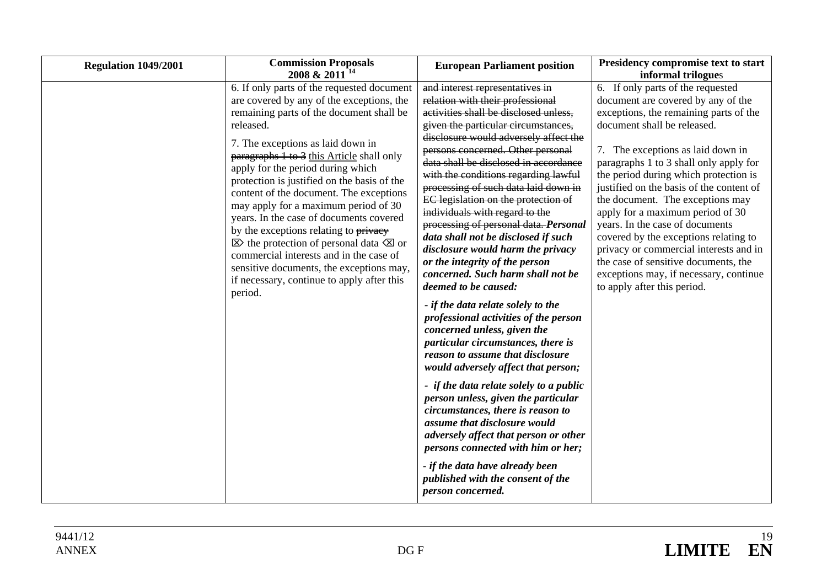| Regulation 1049/2001 | <b>Commission Proposals</b><br>2008 & 2011 <sup>14</sup>                                                                                                                                                                                                                                                                                                                                                                                                                                                                                                                                                                                                                                                    | <b>European Parliament position</b>                                                                                                                                                                                                                                                                                                                                                                                                                                                                                                                                                                                                                                                                                                                                                                                                                                                                                                                                                                                                                                                                                                                                                                                       | Presidency compromise text to start<br>informal trilogues                                                                                                                                                                                                                                                                                                                                                                                                                                                                                                                                                                           |
|----------------------|-------------------------------------------------------------------------------------------------------------------------------------------------------------------------------------------------------------------------------------------------------------------------------------------------------------------------------------------------------------------------------------------------------------------------------------------------------------------------------------------------------------------------------------------------------------------------------------------------------------------------------------------------------------------------------------------------------------|---------------------------------------------------------------------------------------------------------------------------------------------------------------------------------------------------------------------------------------------------------------------------------------------------------------------------------------------------------------------------------------------------------------------------------------------------------------------------------------------------------------------------------------------------------------------------------------------------------------------------------------------------------------------------------------------------------------------------------------------------------------------------------------------------------------------------------------------------------------------------------------------------------------------------------------------------------------------------------------------------------------------------------------------------------------------------------------------------------------------------------------------------------------------------------------------------------------------------|-------------------------------------------------------------------------------------------------------------------------------------------------------------------------------------------------------------------------------------------------------------------------------------------------------------------------------------------------------------------------------------------------------------------------------------------------------------------------------------------------------------------------------------------------------------------------------------------------------------------------------------|
|                      | 6. If only parts of the requested document<br>are covered by any of the exceptions, the<br>remaining parts of the document shall be<br>released.<br>7. The exceptions as laid down in<br>paragraphs 1 to 3 this Article shall only<br>apply for the period during which<br>protection is justified on the basis of the<br>content of the document. The exceptions<br>may apply for a maximum period of 30<br>years. In the case of documents covered<br>by the exceptions relating to privacy<br>$\boxtimes$ the protection of personal data $\boxtimes$ or<br>commercial interests and in the case of<br>sensitive documents, the exceptions may,<br>if necessary, continue to apply after this<br>period. | and interest representatives in<br>relation with their professional<br>activities shall be disclosed unless,<br>given the particular circumstances,<br>disclosure would adversely affect the<br>persons concerned. Other personal<br>data shall be disclosed in accordance<br>with the conditions regarding lawful<br>processing of such data laid down in<br>EC legislation on the protection of<br>individuals with regard to the<br>processing of personal data. Personal<br>data shall not be disclosed if such<br>disclosure would harm the privacy<br>or the integrity of the person<br>concerned. Such harm shall not be<br>deemed to be caused:<br>- if the data relate solely to the<br>professional activities of the person<br>concerned unless, given the<br>particular circumstances, there is<br>reason to assume that disclosure<br>would adversely affect that person;<br>- if the data relate solely to a public<br>person unless, given the particular<br>circumstances, there is reason to<br>assume that disclosure would<br>adversely affect that person or other<br>persons connected with him or her;<br>- if the data have already been<br>published with the consent of the<br>person concerned. | 6. If only parts of the requested<br>document are covered by any of the<br>exceptions, the remaining parts of the<br>document shall be released.<br>7. The exceptions as laid down in<br>paragraphs 1 to 3 shall only apply for<br>the period during which protection is<br>justified on the basis of the content of<br>the document. The exceptions may<br>apply for a maximum period of 30<br>years. In the case of documents<br>covered by the exceptions relating to<br>privacy or commercial interests and in<br>the case of sensitive documents, the<br>exceptions may, if necessary, continue<br>to apply after this period. |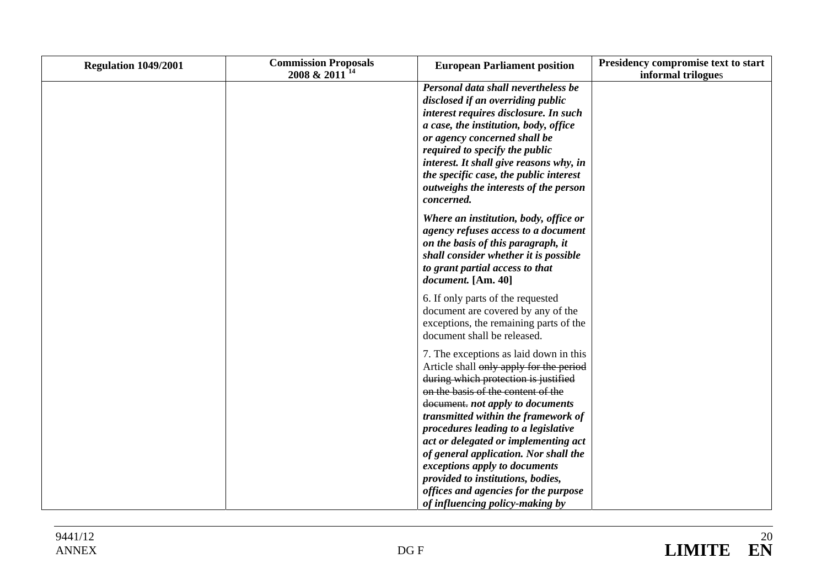| Regulation 1049/2001 | <b>Commission Proposals</b><br>2008 & 2011 <sup>14</sup> | <b>European Parliament position</b>                                                                                                                                                                                                                                                                                                                                                                                                                                              | Presidency compromise text to start<br>informal trilogues |
|----------------------|----------------------------------------------------------|----------------------------------------------------------------------------------------------------------------------------------------------------------------------------------------------------------------------------------------------------------------------------------------------------------------------------------------------------------------------------------------------------------------------------------------------------------------------------------|-----------------------------------------------------------|
|                      |                                                          | Personal data shall nevertheless be<br>disclosed if an overriding public<br>interest requires disclosure. In such<br>a case, the institution, body, office<br>or agency concerned shall be<br>required to specify the public<br>interest. It shall give reasons why, in<br>the specific case, the public interest<br>outweighs the interests of the person<br><i>concerned.</i>                                                                                                  |                                                           |
|                      |                                                          | Where an institution, body, office or<br>agency refuses access to a document<br>on the basis of this paragraph, it<br>shall consider whether it is possible<br>to grant partial access to that<br>document. [Am. 40]                                                                                                                                                                                                                                                             |                                                           |
|                      |                                                          | 6. If only parts of the requested<br>document are covered by any of the<br>exceptions, the remaining parts of the<br>document shall be released.                                                                                                                                                                                                                                                                                                                                 |                                                           |
|                      |                                                          | 7. The exceptions as laid down in this<br>Article shall only apply for the period<br>during which protection is justified<br>on the basis of the content of the<br>document. not apply to documents<br>transmitted within the framework of<br>procedures leading to a legislative<br>act or delegated or implementing act<br>of general application. Nor shall the<br>exceptions apply to documents<br>provided to institutions, bodies,<br>offices and agencies for the purpose |                                                           |
|                      |                                                          | of influencing policy-making by                                                                                                                                                                                                                                                                                                                                                                                                                                                  |                                                           |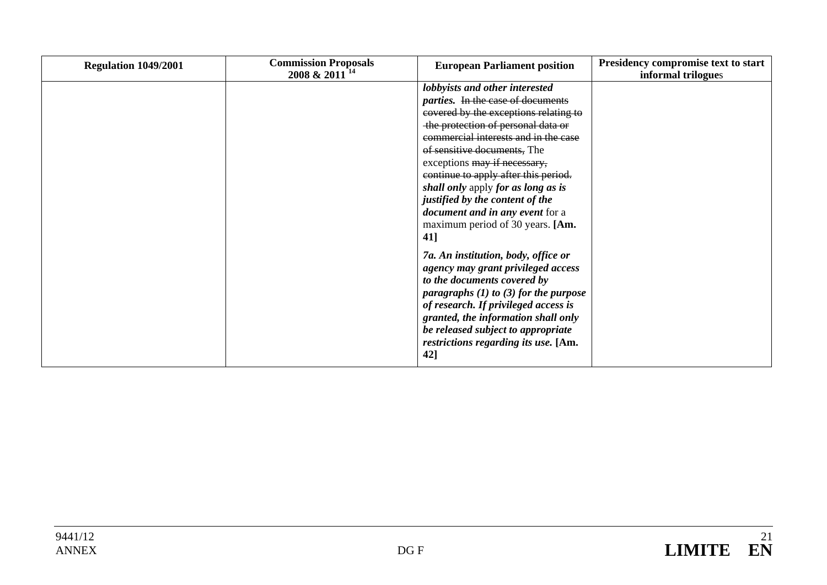| Regulation 1049/2001 | <b>Commission Proposals</b><br>2008 & 2011 <sup>14</sup> | <b>European Parliament position</b>                                                                                                                                                                                                                                                                                                                                                                                                                                    | Presidency compromise text to start<br>informal trilogues |
|----------------------|----------------------------------------------------------|------------------------------------------------------------------------------------------------------------------------------------------------------------------------------------------------------------------------------------------------------------------------------------------------------------------------------------------------------------------------------------------------------------------------------------------------------------------------|-----------------------------------------------------------|
|                      |                                                          | lobbyists and other interested<br><i>parties.</i> In the case of documents<br>covered by the exceptions relating to<br>the protection of personal data or<br>commercial interests and in the case<br>of sensitive documents, The<br>exceptions may if necessary,<br>continue to apply after this period.<br>shall only apply for as long as is<br>justified by the content of the<br><i>document and in any event for a</i><br>maximum period of 30 years. [Am.<br>41] |                                                           |
|                      |                                                          | 7a. An institution, body, office or<br>agency may grant privileged access<br>to the documents covered by<br>paragraphs $(1)$ to $(3)$ for the purpose<br>of research. If privileged access is<br>granted, the information shall only<br>be released subject to appropriate<br>restrictions regarding its use. [Am.<br>42]                                                                                                                                              |                                                           |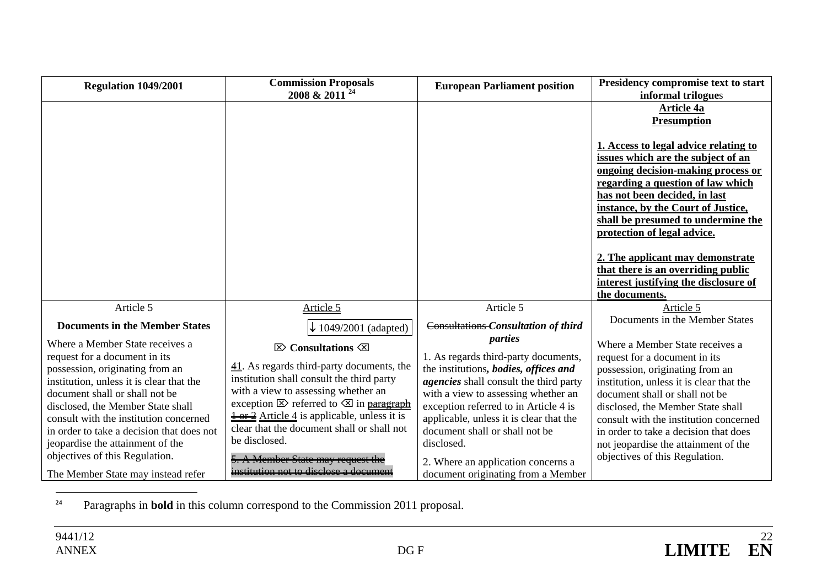| Regulation 1049/2001                                                                                                                                                                                                                                                                                                                                                                                                      | <b>Commission Proposals</b><br>24<br>2008 & 2011                                                                                                                                                                                                                                                                                                                                                                                                                                     | <b>European Parliament position</b>                                                                                                                                                                                                                                                                                                                                                              | Presidency compromise text to start<br>informal trilogues                                                                                                                                                                                                                                                                                                                           |
|---------------------------------------------------------------------------------------------------------------------------------------------------------------------------------------------------------------------------------------------------------------------------------------------------------------------------------------------------------------------------------------------------------------------------|--------------------------------------------------------------------------------------------------------------------------------------------------------------------------------------------------------------------------------------------------------------------------------------------------------------------------------------------------------------------------------------------------------------------------------------------------------------------------------------|--------------------------------------------------------------------------------------------------------------------------------------------------------------------------------------------------------------------------------------------------------------------------------------------------------------------------------------------------------------------------------------------------|-------------------------------------------------------------------------------------------------------------------------------------------------------------------------------------------------------------------------------------------------------------------------------------------------------------------------------------------------------------------------------------|
|                                                                                                                                                                                                                                                                                                                                                                                                                           |                                                                                                                                                                                                                                                                                                                                                                                                                                                                                      |                                                                                                                                                                                                                                                                                                                                                                                                  | Article 4a<br><b>Presumption</b>                                                                                                                                                                                                                                                                                                                                                    |
|                                                                                                                                                                                                                                                                                                                                                                                                                           |                                                                                                                                                                                                                                                                                                                                                                                                                                                                                      |                                                                                                                                                                                                                                                                                                                                                                                                  | 1. Access to legal advice relating to<br>issues which are the subject of an<br>ongoing decision-making process or<br>regarding a question of law which<br>has not been decided, in last<br>instance, by the Court of Justice,<br>shall be presumed to undermine the<br>protection of legal advice.                                                                                  |
|                                                                                                                                                                                                                                                                                                                                                                                                                           |                                                                                                                                                                                                                                                                                                                                                                                                                                                                                      |                                                                                                                                                                                                                                                                                                                                                                                                  | 2. The applicant may demonstrate<br>that there is an overriding public<br>interest justifying the disclosure of<br>the documents.                                                                                                                                                                                                                                                   |
| Article 5                                                                                                                                                                                                                                                                                                                                                                                                                 | Article 5                                                                                                                                                                                                                                                                                                                                                                                                                                                                            | Article 5                                                                                                                                                                                                                                                                                                                                                                                        | Article 5                                                                                                                                                                                                                                                                                                                                                                           |
| <b>Documents in the Member States</b>                                                                                                                                                                                                                                                                                                                                                                                     | $\downarrow$ 1049/2001 (adapted)                                                                                                                                                                                                                                                                                                                                                                                                                                                     | Consultations Consultation of third                                                                                                                                                                                                                                                                                                                                                              | Documents in the Member States                                                                                                                                                                                                                                                                                                                                                      |
| Where a Member State receives a<br>request for a document in its<br>possession, originating from an<br>institution, unless it is clear that the<br>document shall or shall not be<br>disclosed, the Member State shall<br>consult with the institution concerned<br>in order to take a decision that does not<br>jeopardise the attainment of the<br>objectives of this Regulation.<br>The Member State may instead refer | $\boxtimes$ Consultations $\boxtimes$<br>$\underline{41}$ . As regards third-party documents, the<br>institution shall consult the third party<br>with a view to assessing whether an<br>exception $\boxtimes$ referred to $\boxtimes$ in paragraph<br>$\frac{1 \text{ or } 2}{1 \text{ or } 2}$ Article 4 is applicable, unless it is<br>clear that the document shall or shall not<br>be disclosed.<br>5. A Member State may request the<br>institution not to disclose a document | parties<br>1. As regards third-party documents,<br>the institutions, bodies, offices and<br><i>agencies</i> shall consult the third party<br>with a view to assessing whether an<br>exception referred to in Article 4 is<br>applicable, unless it is clear that the<br>document shall or shall not be<br>disclosed.<br>2. Where an application concerns a<br>document originating from a Member | Where a Member State receives a<br>request for a document in its<br>possession, originating from an<br>institution, unless it is clear that the<br>document shall or shall not be<br>disclosed, the Member State shall<br>consult with the institution concerned<br>in order to take a decision that does<br>not jeopardise the attainment of the<br>objectives of this Regulation. |

**24**Paragraphs in **bold** in this column correspond to the Commission 2011 proposal.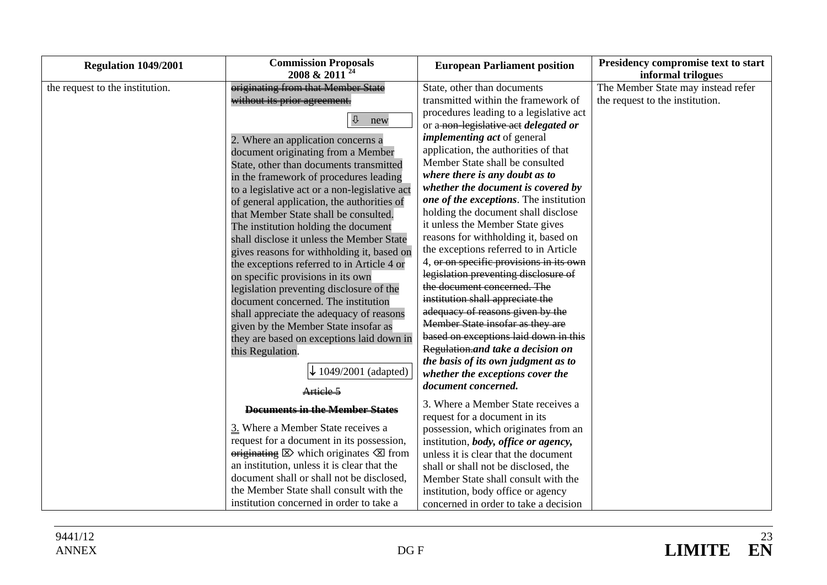| <b>Regulation 1049/2001</b>     | <b>Commission Proposals</b><br>2008 & 2011 <sup>24</sup>                      | <b>European Parliament position</b>     | Presidency compromise text to start                      |
|---------------------------------|-------------------------------------------------------------------------------|-----------------------------------------|----------------------------------------------------------|
| the request to the institution. | originating from that Member State                                            | State, other than documents             | informal trilogues<br>The Member State may instead refer |
|                                 | without its prior agreement.                                                  | transmitted within the framework of     | the request to the institution.                          |
|                                 |                                                                               | procedures leading to a legislative act |                                                          |
|                                 | $\overline{\mathbb{U}}$<br>new                                                | or a-non-legislative act delegated or   |                                                          |
|                                 | 2. Where an application concerns a                                            | <i>implementing act</i> of general      |                                                          |
|                                 | document originating from a Member                                            | application, the authorities of that    |                                                          |
|                                 | State, other than documents transmitted                                       | Member State shall be consulted         |                                                          |
|                                 | in the framework of procedures leading                                        | where there is any doubt as to          |                                                          |
|                                 | to a legislative act or a non-legislative act                                 | whether the document is covered by      |                                                          |
|                                 | of general application, the authorities of                                    | one of the exceptions. The institution  |                                                          |
|                                 | that Member State shall be consulted.                                         | holding the document shall disclose     |                                                          |
|                                 | The institution holding the document                                          | it unless the Member State gives        |                                                          |
|                                 | shall disclose it unless the Member State                                     | reasons for withholding it, based on    |                                                          |
|                                 | gives reasons for withholding it, based on                                    | the exceptions referred to in Article   |                                                          |
|                                 | the exceptions referred to in Article 4 or                                    | 4, or on specific provisions in its own |                                                          |
|                                 | on specific provisions in its own                                             | legislation preventing disclosure of    |                                                          |
|                                 | legislation preventing disclosure of the                                      | the document concerned. The             |                                                          |
|                                 | document concerned. The institution                                           | institution shall appreciate the        |                                                          |
|                                 | shall appreciate the adequacy of reasons                                      | adequacy of reasons given by the        |                                                          |
|                                 | given by the Member State insofar as                                          | Member State insofar as they are        |                                                          |
|                                 | they are based on exceptions laid down in                                     | based on exceptions laid down in this   |                                                          |
|                                 | this Regulation.                                                              | Regulation.and take a decision on       |                                                          |
|                                 |                                                                               | the basis of its own judgment as to     |                                                          |
|                                 | 1049/2001 (adapted)                                                           | whether the exceptions cover the        |                                                          |
|                                 | Article 5                                                                     | document concerned.                     |                                                          |
|                                 | Documents in the Member States                                                | 3. Where a Member State receives a      |                                                          |
|                                 |                                                                               | request for a document in its           |                                                          |
|                                 | 3. Where a Member State receives a                                            | possession, which originates from an    |                                                          |
|                                 | request for a document in its possession,                                     | institution, body, office or agency,    |                                                          |
|                                 | $\overline{\text{originating}}$ $\boxtimes$ which originates $\boxtimes$ from | unless it is clear that the document    |                                                          |
|                                 | an institution, unless it is clear that the                                   | shall or shall not be disclosed, the    |                                                          |
|                                 | document shall or shall not be disclosed,                                     | Member State shall consult with the     |                                                          |
|                                 | the Member State shall consult with the                                       | institution, body office or agency      |                                                          |
|                                 | institution concerned in order to take a                                      | concerned in order to take a decision   |                                                          |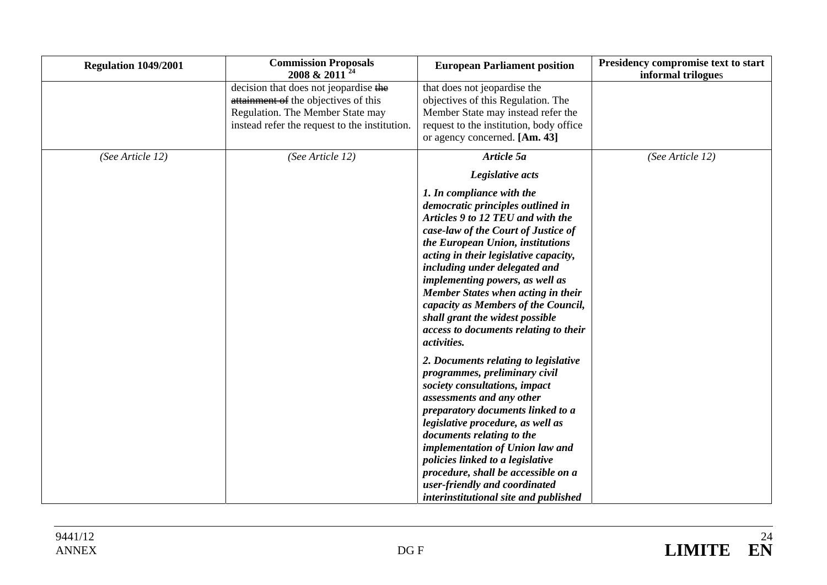| Regulation 1049/2001 | <b>Commission Proposals</b><br>2008 & 2011                                                                                                                         | <b>European Parliament position</b>                                                                                                                                                                                                                                                                                                                                                                                                                                 | Presidency compromise text to start<br>informal trilogues |
|----------------------|--------------------------------------------------------------------------------------------------------------------------------------------------------------------|---------------------------------------------------------------------------------------------------------------------------------------------------------------------------------------------------------------------------------------------------------------------------------------------------------------------------------------------------------------------------------------------------------------------------------------------------------------------|-----------------------------------------------------------|
|                      | decision that does not jeopardise the<br>attainment of the objectives of this<br>Regulation. The Member State may<br>instead refer the request to the institution. | that does not jeopardise the<br>objectives of this Regulation. The<br>Member State may instead refer the<br>request to the institution, body office<br>or agency concerned. [Am. 43]                                                                                                                                                                                                                                                                                |                                                           |
| (See Article 12)     | (See Article 12)                                                                                                                                                   | Article 5a<br>Legislative acts                                                                                                                                                                                                                                                                                                                                                                                                                                      | (See Article 12)                                          |
|                      |                                                                                                                                                                    | 1. In compliance with the<br>democratic principles outlined in<br>Articles 9 to 12 TEU and with the<br>case-law of the Court of Justice of<br>the European Union, institutions<br>acting in their legislative capacity,<br>including under delegated and<br>implementing powers, as well as<br>Member States when acting in their<br>capacity as Members of the Council,<br>shall grant the widest possible<br>access to documents relating to their<br>activities. |                                                           |
|                      |                                                                                                                                                                    | 2. Documents relating to legislative<br>programmes, preliminary civil<br>society consultations, impact<br>assessments and any other<br>preparatory documents linked to a<br>legislative procedure, as well as<br>documents relating to the<br>implementation of Union law and<br>policies linked to a legislative<br>procedure, shall be accessible on a<br>user-friendly and coordinated<br>interinstitutional site and published                                  |                                                           |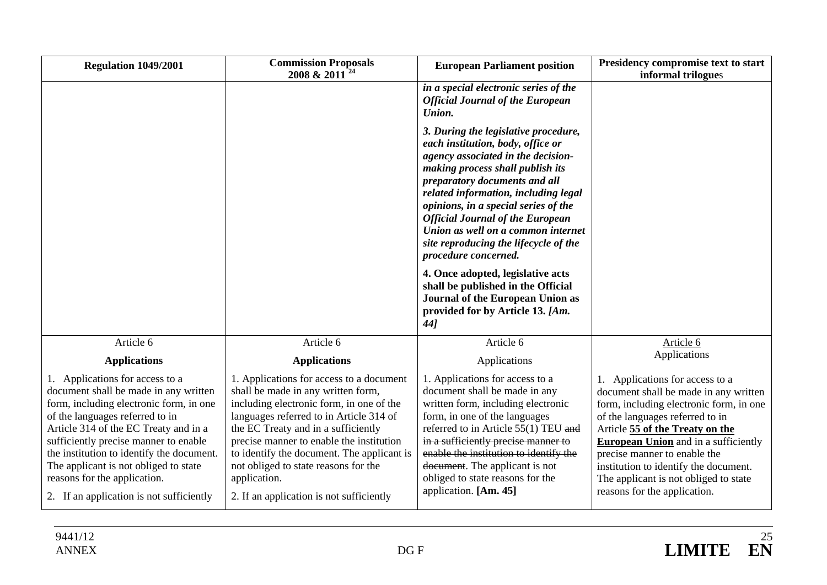| <b>Regulation 1049/2001</b>                                                                                                                                                                                                                                                                                                                                                                                | <b>Commission Proposals</b><br>2008 & 2011 <sup>24</sup>                                                                                                                                                                                                                                                                                                                                                   | <b>European Parliament position</b>                                                                                                                                                                                                                                                                                                                                                                                                                                                                                                                                              | Presidency compromise text to start<br>informal trilogues                                                                                                                                                                                                                                                                                                                                  |
|------------------------------------------------------------------------------------------------------------------------------------------------------------------------------------------------------------------------------------------------------------------------------------------------------------------------------------------------------------------------------------------------------------|------------------------------------------------------------------------------------------------------------------------------------------------------------------------------------------------------------------------------------------------------------------------------------------------------------------------------------------------------------------------------------------------------------|----------------------------------------------------------------------------------------------------------------------------------------------------------------------------------------------------------------------------------------------------------------------------------------------------------------------------------------------------------------------------------------------------------------------------------------------------------------------------------------------------------------------------------------------------------------------------------|--------------------------------------------------------------------------------------------------------------------------------------------------------------------------------------------------------------------------------------------------------------------------------------------------------------------------------------------------------------------------------------------|
|                                                                                                                                                                                                                                                                                                                                                                                                            |                                                                                                                                                                                                                                                                                                                                                                                                            | in a special electronic series of the<br><b>Official Journal of the European</b><br>Union.                                                                                                                                                                                                                                                                                                                                                                                                                                                                                       |                                                                                                                                                                                                                                                                                                                                                                                            |
|                                                                                                                                                                                                                                                                                                                                                                                                            |                                                                                                                                                                                                                                                                                                                                                                                                            | 3. During the legislative procedure,<br>each institution, body, office or<br>agency associated in the decision-<br>making process shall publish its<br>preparatory documents and all<br>related information, including legal<br>opinions, in a special series of the<br><b>Official Journal of the European</b><br>Union as well on a common internet<br>site reproducing the lifecycle of the<br>procedure concerned.<br>4. Once adopted, legislative acts<br>shall be published in the Official<br>Journal of the European Union as<br>provided for by Article 13. [Am.<br>44] |                                                                                                                                                                                                                                                                                                                                                                                            |
| Article 6                                                                                                                                                                                                                                                                                                                                                                                                  | Article 6                                                                                                                                                                                                                                                                                                                                                                                                  | Article 6                                                                                                                                                                                                                                                                                                                                                                                                                                                                                                                                                                        | Article 6                                                                                                                                                                                                                                                                                                                                                                                  |
| <b>Applications</b>                                                                                                                                                                                                                                                                                                                                                                                        | <b>Applications</b>                                                                                                                                                                                                                                                                                                                                                                                        | Applications                                                                                                                                                                                                                                                                                                                                                                                                                                                                                                                                                                     | Applications                                                                                                                                                                                                                                                                                                                                                                               |
| 1. Applications for access to a<br>document shall be made in any written<br>form, including electronic form, in one<br>of the languages referred to in<br>Article 314 of the EC Treaty and in a<br>sufficiently precise manner to enable<br>the institution to identify the document.<br>The applicant is not obliged to state<br>reasons for the application.<br>2. If an application is not sufficiently | 1. Applications for access to a document<br>shall be made in any written form,<br>including electronic form, in one of the<br>languages referred to in Article 314 of<br>the EC Treaty and in a sufficiently<br>precise manner to enable the institution<br>to identify the document. The applicant is<br>not obliged to state reasons for the<br>application.<br>2. If an application is not sufficiently | 1. Applications for access to a<br>document shall be made in any<br>written form, including electronic<br>form, in one of the languages<br>referred to in Article 55(1) TEU and<br>in a sufficiently precise manner to<br>enable the institution to identify the<br>document. The applicant is not<br>obliged to state reasons for the<br>application. [Am. 45]                                                                                                                                                                                                                  | 1. Applications for access to a<br>document shall be made in any written<br>form, including electronic form, in one<br>of the languages referred to in<br>Article 55 of the Treaty on the<br><b>European Union</b> and in a sufficiently<br>precise manner to enable the<br>institution to identify the document.<br>The applicant is not obliged to state<br>reasons for the application. |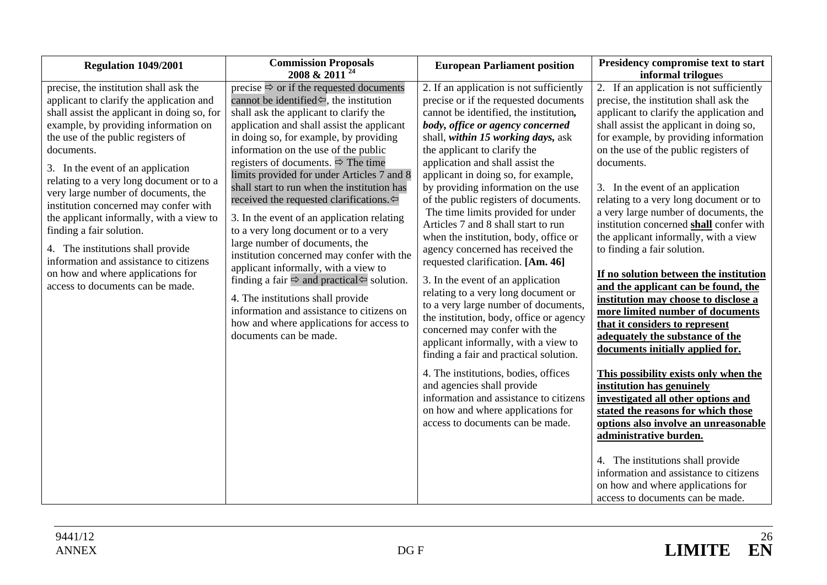| Regulation 1049/2001                                                                                                                                                                                                                                                                                                                                                                                                                                                                                                                                                                                                           | <b>Commission Proposals</b><br>2008 & 2011 <sup>24</sup>                                                                                                                                                                                                                                                                                                                                                                                                                                                                                                                                                                                                                                                                                                                                                                                                                                                                                       | <b>European Parliament position</b>                                                                                                                                                                                                                                                                                                                                                                                                                                                                                                                                                                                                                                                                                                                                                                                                                                                                                                                                                                                                                                         | Presidency compromise text to start<br>informal trilogues                                                                                                                                                                                                                                                                                                                                                                                                                                                                                                                                                                                                                                                                                                                                                                                                                                                                                                                                                                                                                                                                                                              |
|--------------------------------------------------------------------------------------------------------------------------------------------------------------------------------------------------------------------------------------------------------------------------------------------------------------------------------------------------------------------------------------------------------------------------------------------------------------------------------------------------------------------------------------------------------------------------------------------------------------------------------|------------------------------------------------------------------------------------------------------------------------------------------------------------------------------------------------------------------------------------------------------------------------------------------------------------------------------------------------------------------------------------------------------------------------------------------------------------------------------------------------------------------------------------------------------------------------------------------------------------------------------------------------------------------------------------------------------------------------------------------------------------------------------------------------------------------------------------------------------------------------------------------------------------------------------------------------|-----------------------------------------------------------------------------------------------------------------------------------------------------------------------------------------------------------------------------------------------------------------------------------------------------------------------------------------------------------------------------------------------------------------------------------------------------------------------------------------------------------------------------------------------------------------------------------------------------------------------------------------------------------------------------------------------------------------------------------------------------------------------------------------------------------------------------------------------------------------------------------------------------------------------------------------------------------------------------------------------------------------------------------------------------------------------------|------------------------------------------------------------------------------------------------------------------------------------------------------------------------------------------------------------------------------------------------------------------------------------------------------------------------------------------------------------------------------------------------------------------------------------------------------------------------------------------------------------------------------------------------------------------------------------------------------------------------------------------------------------------------------------------------------------------------------------------------------------------------------------------------------------------------------------------------------------------------------------------------------------------------------------------------------------------------------------------------------------------------------------------------------------------------------------------------------------------------------------------------------------------------|
| precise, the institution shall ask the<br>applicant to clarify the application and<br>shall assist the applicant in doing so, for<br>example, by providing information on<br>the use of the public registers of<br>documents.<br>3. In the event of an application<br>relating to a very long document or to a<br>very large number of documents, the<br>institution concerned may confer with<br>the applicant informally, with a view to<br>finding a fair solution.<br>4. The institutions shall provide<br>information and assistance to citizens<br>on how and where applications for<br>access to documents can be made. | precise $\Rightarrow$ or if the requested documents<br>cannot be identified $\Leftrightarrow$ , the institution<br>shall ask the applicant to clarify the<br>application and shall assist the applicant<br>in doing so, for example, by providing<br>information on the use of the public<br>registers of documents. $\Rightarrow$ The time<br>limits provided for under Articles 7 and 8<br>shall start to run when the institution has<br>received the requested clarifications. $\Leftrightarrow$<br>3. In the event of an application relating<br>to a very long document or to a very<br>large number of documents, the<br>institution concerned may confer with the<br>applicant informally, with a view to<br>finding a fair $\Rightarrow$ and practical $\Leftarrow$ solution.<br>4. The institutions shall provide<br>information and assistance to citizens on<br>how and where applications for access to<br>documents can be made. | 2. If an application is not sufficiently<br>precise or if the requested documents<br>cannot be identified, the institution,<br>body, office or agency concerned<br>shall, within 15 working days, ask<br>the applicant to clarify the<br>application and shall assist the<br>applicant in doing so, for example,<br>by providing information on the use<br>of the public registers of documents.<br>The time limits provided for under<br>Articles 7 and 8 shall start to run<br>when the institution, body, office or<br>agency concerned has received the<br>requested clarification. [Am. 46]<br>3. In the event of an application<br>relating to a very long document or<br>to a very large number of documents,<br>the institution, body, office or agency<br>concerned may confer with the<br>applicant informally, with a view to<br>finding a fair and practical solution.<br>4. The institutions, bodies, offices<br>and agencies shall provide<br>information and assistance to citizens<br>on how and where applications for<br>access to documents can be made. | 2. If an application is not sufficiently<br>precise, the institution shall ask the<br>applicant to clarify the application and<br>shall assist the applicant in doing so,<br>for example, by providing information<br>on the use of the public registers of<br>documents.<br>3. In the event of an application<br>relating to a very long document or to<br>a very large number of documents, the<br>institution concerned shall confer with<br>the applicant informally, with a view<br>to finding a fair solution.<br>If no solution between the institution<br>and the applicant can be found, the<br>institution may choose to disclose a<br>more limited number of documents<br>that it considers to represent<br>adequately the substance of the<br>documents initially applied for.<br>This possibility exists only when the<br>institution has genuinely<br>investigated all other options and<br>stated the reasons for which those<br>options also involve an unreasonable<br>administrative burden.<br>4. The institutions shall provide<br>information and assistance to citizens<br>on how and where applications for<br>access to documents can be made. |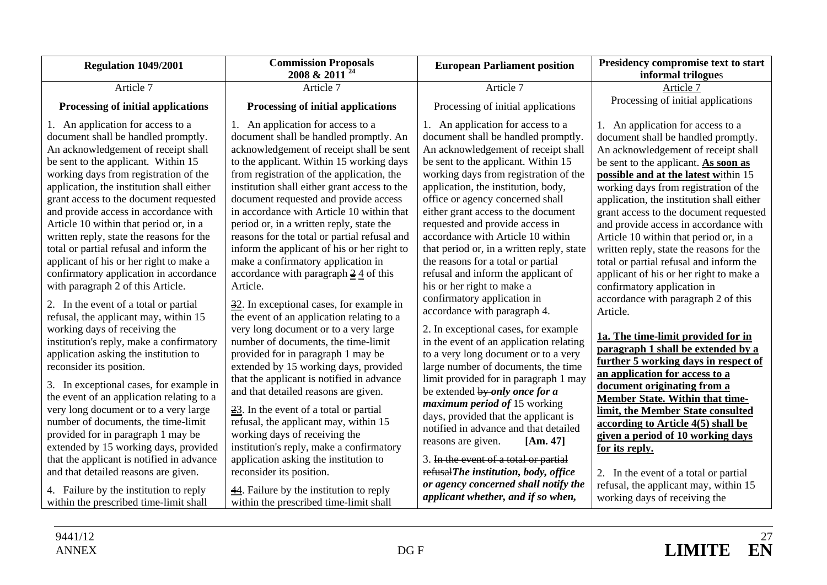| <b>Regulation 1049/2001</b>                                                                                                                                                                                                                                                                                                                                                                                                                                                                                                                                                                                                                                                                                                                                                                                                                                                                                                                                                                                                                                                                                                                                                | <b>Commission Proposals</b><br>2008 & 2011 <sup>24</sup>                                                                                                                                                                                                                                                                                                                                                                                                                                                                                                                                                                                                                                                                                                                                                                                                                                                                                                                                                                                                                                                                                                                                                           | <b>European Parliament position</b>                                                                                                                                                                                                                                                                                                                                                                                                                                                                                                                                                                                                                                                                                                                                                                                                                                                                                                                                                                                                                                                                      | Presidency compromise text to start<br>informal trilogues                                                                                                                                                                                                                                                                                                                                                                                                                                                                                                                                                                                                                                                                                                                                                                                                                                                                                                                                                                                 |
|----------------------------------------------------------------------------------------------------------------------------------------------------------------------------------------------------------------------------------------------------------------------------------------------------------------------------------------------------------------------------------------------------------------------------------------------------------------------------------------------------------------------------------------------------------------------------------------------------------------------------------------------------------------------------------------------------------------------------------------------------------------------------------------------------------------------------------------------------------------------------------------------------------------------------------------------------------------------------------------------------------------------------------------------------------------------------------------------------------------------------------------------------------------------------|--------------------------------------------------------------------------------------------------------------------------------------------------------------------------------------------------------------------------------------------------------------------------------------------------------------------------------------------------------------------------------------------------------------------------------------------------------------------------------------------------------------------------------------------------------------------------------------------------------------------------------------------------------------------------------------------------------------------------------------------------------------------------------------------------------------------------------------------------------------------------------------------------------------------------------------------------------------------------------------------------------------------------------------------------------------------------------------------------------------------------------------------------------------------------------------------------------------------|----------------------------------------------------------------------------------------------------------------------------------------------------------------------------------------------------------------------------------------------------------------------------------------------------------------------------------------------------------------------------------------------------------------------------------------------------------------------------------------------------------------------------------------------------------------------------------------------------------------------------------------------------------------------------------------------------------------------------------------------------------------------------------------------------------------------------------------------------------------------------------------------------------------------------------------------------------------------------------------------------------------------------------------------------------------------------------------------------------|-------------------------------------------------------------------------------------------------------------------------------------------------------------------------------------------------------------------------------------------------------------------------------------------------------------------------------------------------------------------------------------------------------------------------------------------------------------------------------------------------------------------------------------------------------------------------------------------------------------------------------------------------------------------------------------------------------------------------------------------------------------------------------------------------------------------------------------------------------------------------------------------------------------------------------------------------------------------------------------------------------------------------------------------|
| Article 7                                                                                                                                                                                                                                                                                                                                                                                                                                                                                                                                                                                                                                                                                                                                                                                                                                                                                                                                                                                                                                                                                                                                                                  | Article 7                                                                                                                                                                                                                                                                                                                                                                                                                                                                                                                                                                                                                                                                                                                                                                                                                                                                                                                                                                                                                                                                                                                                                                                                          | Article 7                                                                                                                                                                                                                                                                                                                                                                                                                                                                                                                                                                                                                                                                                                                                                                                                                                                                                                                                                                                                                                                                                                | Article 7                                                                                                                                                                                                                                                                                                                                                                                                                                                                                                                                                                                                                                                                                                                                                                                                                                                                                                                                                                                                                                 |
| Processing of initial applications                                                                                                                                                                                                                                                                                                                                                                                                                                                                                                                                                                                                                                                                                                                                                                                                                                                                                                                                                                                                                                                                                                                                         | Processing of initial applications                                                                                                                                                                                                                                                                                                                                                                                                                                                                                                                                                                                                                                                                                                                                                                                                                                                                                                                                                                                                                                                                                                                                                                                 | Processing of initial applications                                                                                                                                                                                                                                                                                                                                                                                                                                                                                                                                                                                                                                                                                                                                                                                                                                                                                                                                                                                                                                                                       | Processing of initial applications                                                                                                                                                                                                                                                                                                                                                                                                                                                                                                                                                                                                                                                                                                                                                                                                                                                                                                                                                                                                        |
| 1. An application for access to a<br>document shall be handled promptly.<br>An acknowledgement of receipt shall<br>be sent to the applicant. Within 15<br>working days from registration of the<br>application, the institution shall either<br>grant access to the document requested<br>and provide access in accordance with<br>Article 10 within that period or, in a<br>written reply, state the reasons for the<br>total or partial refusal and inform the<br>applicant of his or her right to make a<br>confirmatory application in accordance<br>with paragraph 2 of this Article.<br>2. In the event of a total or partial<br>refusal, the applicant may, within 15<br>working days of receiving the<br>institution's reply, make a confirmatory<br>application asking the institution to<br>reconsider its position.<br>3. In exceptional cases, for example in<br>the event of an application relating to a<br>very long document or to a very large<br>number of documents, the time-limit<br>provided for in paragraph 1 may be<br>extended by 15 working days, provided<br>that the applicant is notified in advance<br>and that detailed reasons are given. | 1. An application for access to a<br>document shall be handled promptly. An<br>acknowledgement of receipt shall be sent<br>to the applicant. Within 15 working days<br>from registration of the application, the<br>institution shall either grant access to the<br>document requested and provide access<br>in accordance with Article 10 within that<br>period or, in a written reply, state the<br>reasons for the total or partial refusal and<br>inform the applicant of his or her right to<br>make a confirmatory application in<br>accordance with paragraph $\frac{2}{3}$ of this<br>Article.<br>$\frac{32}{2}$ . In exceptional cases, for example in<br>the event of an application relating to a<br>very long document or to a very large<br>number of documents, the time-limit<br>provided for in paragraph 1 may be<br>extended by 15 working days, provided<br>that the applicant is notified in advance<br>and that detailed reasons are given.<br>$\frac{23}{2}$ . In the event of a total or partial<br>refusal, the applicant may, within 15<br>working days of receiving the<br>institution's reply, make a confirmatory<br>application asking the institution to<br>reconsider its position. | 1. An application for access to a<br>document shall be handled promptly.<br>An acknowledgement of receipt shall<br>be sent to the applicant. Within 15<br>working days from registration of the<br>application, the institution, body,<br>office or agency concerned shall<br>either grant access to the document<br>requested and provide access in<br>accordance with Article 10 within<br>that period or, in a written reply, state<br>the reasons for a total or partial<br>refusal and inform the applicant of<br>his or her right to make a<br>confirmatory application in<br>accordance with paragraph 4.<br>2. In exceptional cases, for example<br>in the event of an application relating<br>to a very long document or to a very<br>large number of documents, the time<br>limit provided for in paragraph 1 may<br>be extended by only once for a<br><i>maximum period of 15 working</i><br>days, provided that the applicant is<br>notified in advance and that detailed<br>reasons are given.<br>[Am. 47]<br>3. In the event of a total or partial<br>refusalThe institution, body, office | 1. An application for access to a<br>document shall be handled promptly.<br>An acknowledgement of receipt shall<br>be sent to the applicant. As soon as<br>possible and at the latest within 15<br>working days from registration of the<br>application, the institution shall either<br>grant access to the document requested<br>and provide access in accordance with<br>Article 10 within that period or, in a<br>written reply, state the reasons for the<br>total or partial refusal and inform the<br>applicant of his or her right to make a<br>confirmatory application in<br>accordance with paragraph 2 of this<br>Article.<br>1a. The time-limit provided for in<br>paragraph 1 shall be extended by a<br>further 5 working days in respect of<br>an application for access to a<br>document originating from a<br>Member State. Within that time-<br>limit, the Member State consulted<br>according to Article 4(5) shall be<br>given a period of 10 working days<br>for its reply.<br>2. In the event of a total or partial |
| 4. Failure by the institution to reply<br>within the prescribed time-limit shall                                                                                                                                                                                                                                                                                                                                                                                                                                                                                                                                                                                                                                                                                                                                                                                                                                                                                                                                                                                                                                                                                           | $\frac{44}{1}$ . Failure by the institution to reply<br>within the prescribed time-limit shall                                                                                                                                                                                                                                                                                                                                                                                                                                                                                                                                                                                                                                                                                                                                                                                                                                                                                                                                                                                                                                                                                                                     | or agency concerned shall notify the<br>applicant whether, and if so when,                                                                                                                                                                                                                                                                                                                                                                                                                                                                                                                                                                                                                                                                                                                                                                                                                                                                                                                                                                                                                               | refusal, the applicant may, within 15<br>working days of receiving the                                                                                                                                                                                                                                                                                                                                                                                                                                                                                                                                                                                                                                                                                                                                                                                                                                                                                                                                                                    |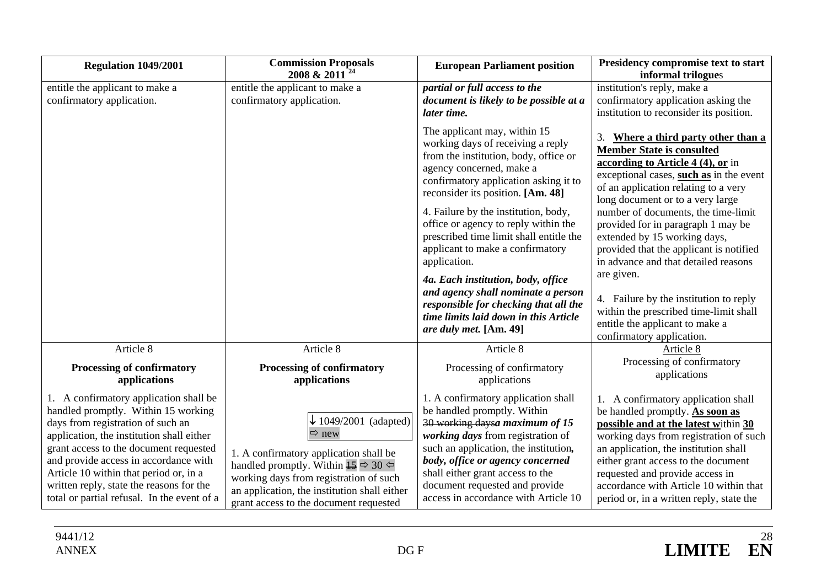| <b>Regulation 1049/2001</b>                                                                                                                                                                                                                                                                                                                                                             | <b>Commission Proposals</b><br>2008 & 2011                                                                                                                                                                                                                                                 | <b>European Parliament position</b>                                                                                                                                                                                                                                                                                                                                                                                                                                                                                                                                                         | Presidency compromise text to start<br>informal trilogues                                                                                                                                                                                                                                                                                                                                                                                                                                                                                                                                                |
|-----------------------------------------------------------------------------------------------------------------------------------------------------------------------------------------------------------------------------------------------------------------------------------------------------------------------------------------------------------------------------------------|--------------------------------------------------------------------------------------------------------------------------------------------------------------------------------------------------------------------------------------------------------------------------------------------|---------------------------------------------------------------------------------------------------------------------------------------------------------------------------------------------------------------------------------------------------------------------------------------------------------------------------------------------------------------------------------------------------------------------------------------------------------------------------------------------------------------------------------------------------------------------------------------------|----------------------------------------------------------------------------------------------------------------------------------------------------------------------------------------------------------------------------------------------------------------------------------------------------------------------------------------------------------------------------------------------------------------------------------------------------------------------------------------------------------------------------------------------------------------------------------------------------------|
| entitle the applicant to make a<br>confirmatory application.                                                                                                                                                                                                                                                                                                                            | entitle the applicant to make a<br>confirmatory application.                                                                                                                                                                                                                               | partial or full access to the<br>document is likely to be possible at a<br>later time.                                                                                                                                                                                                                                                                                                                                                                                                                                                                                                      | institution's reply, make a<br>confirmatory application asking the<br>institution to reconsider its position.                                                                                                                                                                                                                                                                                                                                                                                                                                                                                            |
|                                                                                                                                                                                                                                                                                                                                                                                         |                                                                                                                                                                                                                                                                                            | The applicant may, within 15<br>working days of receiving a reply<br>from the institution, body, office or<br>agency concerned, make a<br>confirmatory application asking it to<br>reconsider its position. [Am. 48]<br>4. Failure by the institution, body,<br>office or agency to reply within the<br>prescribed time limit shall entitle the<br>applicant to make a confirmatory<br>application.<br>4a. Each institution, body, office<br>and agency shall nominate a person<br>responsible for checking that all the<br>time limits laid down in this Article<br>are duly met. [Am. 49] | Where a third party other than a<br>3.<br><b>Member State is consulted</b><br>according to Article 4 (4), or in<br>exceptional cases, such as in the event<br>of an application relating to a very<br>long document or to a very large<br>number of documents, the time-limit<br>provided for in paragraph 1 may be<br>extended by 15 working days,<br>provided that the applicant is notified<br>in advance and that detailed reasons<br>are given.<br>4. Failure by the institution to reply<br>within the prescribed time-limit shall<br>entitle the applicant to make a<br>confirmatory application. |
| Article 8                                                                                                                                                                                                                                                                                                                                                                               | Article 8                                                                                                                                                                                                                                                                                  | Article 8                                                                                                                                                                                                                                                                                                                                                                                                                                                                                                                                                                                   | Article 8                                                                                                                                                                                                                                                                                                                                                                                                                                                                                                                                                                                                |
| Processing of confirmatory<br>applications                                                                                                                                                                                                                                                                                                                                              | Processing of confirmatory<br>applications                                                                                                                                                                                                                                                 | Processing of confirmatory<br>applications                                                                                                                                                                                                                                                                                                                                                                                                                                                                                                                                                  | Processing of confirmatory<br>applications                                                                                                                                                                                                                                                                                                                                                                                                                                                                                                                                                               |
| 1. A confirmatory application shall be<br>handled promptly. Within 15 working<br>days from registration of such an<br>application, the institution shall either<br>grant access to the document requested<br>and provide access in accordance with<br>Article 10 within that period or, in a<br>written reply, state the reasons for the<br>total or partial refusal. In the event of a | $\downarrow$ 1049/2001 (adapted)<br>$\Rightarrow$ new<br>1. A confirmatory application shall be<br>handled promptly. Within $\frac{15}{15} \approx 30$<br>working days from registration of such<br>an application, the institution shall either<br>grant access to the document requested | 1. A confirmatory application shall<br>be handled promptly. Within<br>30 working daysa maximum of 15<br>working days from registration of<br>such an application, the institution,<br>body, office or agency concerned<br>shall either grant access to the<br>document requested and provide<br>access in accordance with Article 10                                                                                                                                                                                                                                                        | 1. A confirmatory application shall<br>be handled promptly. As soon as<br>possible and at the latest within 30<br>working days from registration of such<br>an application, the institution shall<br>either grant access to the document<br>requested and provide access in<br>accordance with Article 10 within that<br>period or, in a written reply, state the                                                                                                                                                                                                                                        |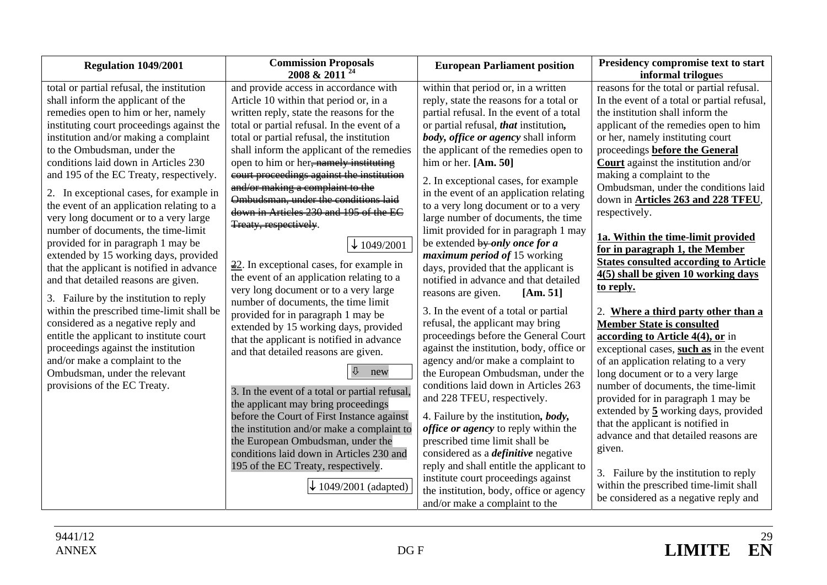| Regulation 1049/2001                                                                                                                                                                                                                                                                                                                                                                                                                                                                                                                                                                                                                                                                                                                                                                                                                                                                                                                                                                         | <b>Commission Proposals</b><br>2008 & 2011 <sup>24</sup>                                                                                                                                                                                                                                                                                                                                                                                                                                                                                                                                                                                                                                                                                                                                                                                                                                                                                                                                                                                                                                                                                                                                                                                               | <b>European Parliament position</b>                                                                                                                                                                                                                                                                                                                                                                                                                                                                                                                                                                                                                                                                                                                                                                                                                                                                                                                                                                                                                                                                                                                                                                                                                                                                  | Presidency compromise text to start<br>informal trilogues                                                                                                                                                                                                                                                                                                                                                                                                                                                                                                                                                                                                                                                                                                                                                                                                                                                                                                                                                                                                                                                                                                                                            |
|----------------------------------------------------------------------------------------------------------------------------------------------------------------------------------------------------------------------------------------------------------------------------------------------------------------------------------------------------------------------------------------------------------------------------------------------------------------------------------------------------------------------------------------------------------------------------------------------------------------------------------------------------------------------------------------------------------------------------------------------------------------------------------------------------------------------------------------------------------------------------------------------------------------------------------------------------------------------------------------------|--------------------------------------------------------------------------------------------------------------------------------------------------------------------------------------------------------------------------------------------------------------------------------------------------------------------------------------------------------------------------------------------------------------------------------------------------------------------------------------------------------------------------------------------------------------------------------------------------------------------------------------------------------------------------------------------------------------------------------------------------------------------------------------------------------------------------------------------------------------------------------------------------------------------------------------------------------------------------------------------------------------------------------------------------------------------------------------------------------------------------------------------------------------------------------------------------------------------------------------------------------|------------------------------------------------------------------------------------------------------------------------------------------------------------------------------------------------------------------------------------------------------------------------------------------------------------------------------------------------------------------------------------------------------------------------------------------------------------------------------------------------------------------------------------------------------------------------------------------------------------------------------------------------------------------------------------------------------------------------------------------------------------------------------------------------------------------------------------------------------------------------------------------------------------------------------------------------------------------------------------------------------------------------------------------------------------------------------------------------------------------------------------------------------------------------------------------------------------------------------------------------------------------------------------------------------|------------------------------------------------------------------------------------------------------------------------------------------------------------------------------------------------------------------------------------------------------------------------------------------------------------------------------------------------------------------------------------------------------------------------------------------------------------------------------------------------------------------------------------------------------------------------------------------------------------------------------------------------------------------------------------------------------------------------------------------------------------------------------------------------------------------------------------------------------------------------------------------------------------------------------------------------------------------------------------------------------------------------------------------------------------------------------------------------------------------------------------------------------------------------------------------------------|
| total or partial refusal, the institution<br>shall inform the applicant of the<br>remedies open to him or her, namely<br>instituting court proceedings against the<br>institution and/or making a complaint<br>to the Ombudsman, under the<br>conditions laid down in Articles 230<br>and 195 of the EC Treaty, respectively.<br>2. In exceptional cases, for example in<br>the event of an application relating to a<br>very long document or to a very large<br>number of documents, the time-limit<br>provided for in paragraph 1 may be<br>extended by 15 working days, provided<br>that the applicant is notified in advance<br>and that detailed reasons are given.<br>3. Failure by the institution to reply<br>within the prescribed time-limit shall be<br>considered as a negative reply and<br>entitle the applicant to institute court<br>proceedings against the institution<br>and/or make a complaint to the<br>Ombudsman, under the relevant<br>provisions of the EC Treaty. | and provide access in accordance with<br>Article 10 within that period or, in a<br>written reply, state the reasons for the<br>total or partial refusal. In the event of a<br>total or partial refusal, the institution<br>shall inform the applicant of the remedies<br>open to him or her <del>, namely instituting</del><br>court proceedings against the institution<br>and/or making a complaint to the<br>Ombudsman, under the conditions laid<br>down in Articles 230 and 195 of the EC<br>Treaty, respectively.<br>$\downarrow$ 1049/2001<br>$\frac{22}{2}$ . In exceptional cases, for example in<br>the event of an application relating to a<br>very long document or to a very large<br>number of documents, the time limit<br>provided for in paragraph 1 may be<br>extended by 15 working days, provided<br>that the applicant is notified in advance<br>and that detailed reasons are given.<br>new<br>3. In the event of a total or partial refusal,<br>the applicant may bring proceedings<br>before the Court of First Instance against<br>the institution and/or make a complaint to<br>the European Ombudsman, under the<br>conditions laid down in Articles 230 and<br>195 of the EC Treaty, respectively.<br>1049/2001 (adapted) | within that period or, in a written<br>reply, state the reasons for a total or<br>partial refusal. In the event of a total<br>or partial refusal, that institution,<br>body, office or agency shall inform<br>the applicant of the remedies open to<br>him or her. $[Am. 50]$<br>2. In exceptional cases, for example<br>in the event of an application relating<br>to a very long document or to a very<br>large number of documents, the time<br>limit provided for in paragraph 1 may<br>be extended by only once for a<br>maximum period of 15 working<br>days, provided that the applicant is<br>notified in advance and that detailed<br>reasons are given.<br>[Am. 51]<br>3. In the event of a total or partial<br>refusal, the applicant may bring<br>proceedings before the General Court<br>against the institution, body, office or<br>agency and/or make a complaint to<br>the European Ombudsman, under the<br>conditions laid down in Articles 263<br>and 228 TFEU, respectively.<br>4. Failure by the institution, body,<br><i>office or agency</i> to reply within the<br>prescribed time limit shall be<br>considered as a <i>definitive</i> negative<br>reply and shall entitle the applicant to<br>institute court proceedings against<br>the institution, body, office or agency | reasons for the total or partial refusal.<br>In the event of a total or partial refusal,<br>the institution shall inform the<br>applicant of the remedies open to him<br>or her, namely instituting court<br>proceedings <b>before the General</b><br><b>Court</b> against the institution and/or<br>making a complaint to the<br>Ombudsman, under the conditions laid<br>down in <b>Articles 263 and 228 TFEU</b> ,<br>respectively.<br>1a. Within the time-limit provided<br>for in paragraph 1, the Member<br><b>States consulted according to Article</b><br>4(5) shall be given 10 working days<br>to reply.<br>2. Where a third party other than a<br><b>Member State is consulted</b><br>according to Article $4(4)$ , or in<br>exceptional cases, such as in the event<br>of an application relating to a very<br>long document or to a very large<br>number of documents, the time-limit<br>provided for in paragraph 1 may be<br>extended by 5 working days, provided<br>that the applicant is notified in<br>advance and that detailed reasons are<br>given.<br>3. Failure by the institution to reply<br>within the prescribed time-limit shall<br>be considered as a negative reply and |
|                                                                                                                                                                                                                                                                                                                                                                                                                                                                                                                                                                                                                                                                                                                                                                                                                                                                                                                                                                                              |                                                                                                                                                                                                                                                                                                                                                                                                                                                                                                                                                                                                                                                                                                                                                                                                                                                                                                                                                                                                                                                                                                                                                                                                                                                        | and/or make a complaint to the                                                                                                                                                                                                                                                                                                                                                                                                                                                                                                                                                                                                                                                                                                                                                                                                                                                                                                                                                                                                                                                                                                                                                                                                                                                                       |                                                                                                                                                                                                                                                                                                                                                                                                                                                                                                                                                                                                                                                                                                                                                                                                                                                                                                                                                                                                                                                                                                                                                                                                      |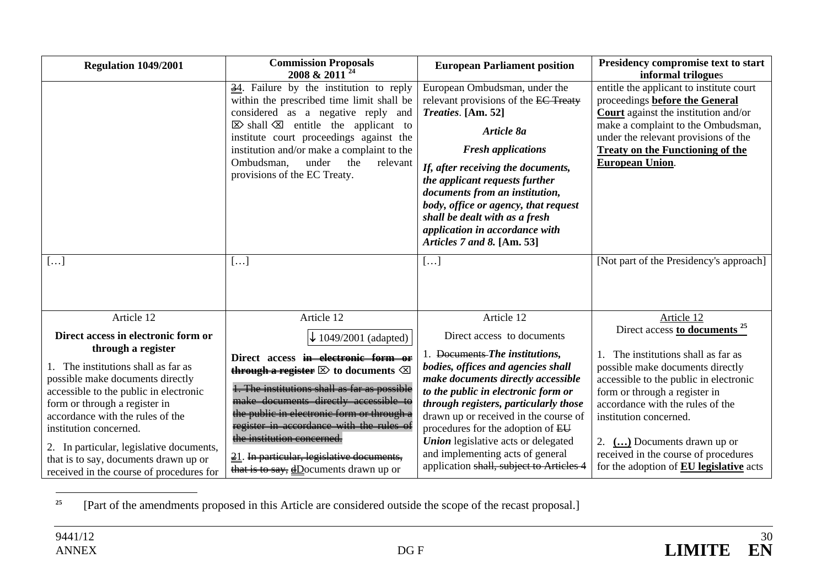| <b>Regulation 1049/2001</b>                                                                                                                                                                                                                                                                                                                       | <b>Commission Proposals</b><br>2008 & 2011 <sup>24</sup>                                                                                                                                                                                                                                                                                                                                                  | <b>European Parliament position</b>                                                                                                                                                                                                                                                                                                                                                                    | Presidency compromise text to start<br>informal trilogues                                                                                                                                                                                                                                                                                                    |
|---------------------------------------------------------------------------------------------------------------------------------------------------------------------------------------------------------------------------------------------------------------------------------------------------------------------------------------------------|-----------------------------------------------------------------------------------------------------------------------------------------------------------------------------------------------------------------------------------------------------------------------------------------------------------------------------------------------------------------------------------------------------------|--------------------------------------------------------------------------------------------------------------------------------------------------------------------------------------------------------------------------------------------------------------------------------------------------------------------------------------------------------------------------------------------------------|--------------------------------------------------------------------------------------------------------------------------------------------------------------------------------------------------------------------------------------------------------------------------------------------------------------------------------------------------------------|
|                                                                                                                                                                                                                                                                                                                                                   | $\frac{34}{2}$ . Failure by the institution to reply<br>within the prescribed time limit shall be<br>considered as a negative reply<br>and<br>$\boxtimes$ shall $\boxtimes$ entitle the applicant to<br>institute court proceedings against the<br>institution and/or make a complaint to the<br>Ombudsman,<br>under<br>the<br>relevant<br>provisions of the EC Treaty.                                   | European Ombudsman, under the<br>relevant provisions of the EC Treaty<br>Treaties. [Am. 52]<br>Article 8a<br><b>Fresh applications</b><br>If, after receiving the documents,<br>the applicant requests further<br>documents from an institution,<br>body, office or agency, that request<br>shall be dealt with as a fresh<br>application in accordance with<br>Articles 7 and 8. [Am. 53]             | entitle the applicant to institute court<br>proceedings before the General<br><b>Court</b> against the institution and/or<br>make a complaint to the Ombudsman,<br>under the relevant provisions of the<br><b>Treaty on the Functioning of the</b><br><b>European Union.</b>                                                                                 |
| []                                                                                                                                                                                                                                                                                                                                                | $[\dots]$                                                                                                                                                                                                                                                                                                                                                                                                 | []                                                                                                                                                                                                                                                                                                                                                                                                     | [Not part of the Presidency's approach]                                                                                                                                                                                                                                                                                                                      |
| Article 12<br>Direct access in electronic form or<br>through a register                                                                                                                                                                                                                                                                           | Article 12<br>$\downarrow$ 1049/2001 (adapted)                                                                                                                                                                                                                                                                                                                                                            | Article 12<br>Direct access to documents                                                                                                                                                                                                                                                                                                                                                               | Article 12<br>Direct access to documents <sup>25</sup>                                                                                                                                                                                                                                                                                                       |
| 1. The institutions shall as far as<br>possible make documents directly<br>accessible to the public in electronic<br>form or through a register in<br>accordance with the rules of the<br>institution concerned.<br>2. In particular, legislative documents,<br>that is to say, documents drawn up or<br>received in the course of procedures for | Direct access in electronic form or<br>through a register $\boxtimes$ to documents $\boxtimes$<br>1. The institutions shall as far as possible<br>make documents directly accessible to<br>the public in electronic form or through a<br>register in accordance with the rules of<br>the institution concerned.<br>21. In particular, legislative documents,<br>that is to say, $d$ Documents drawn up or | 1. Documents-The institutions,<br>bodies, offices and agencies shall<br>make documents directly accessible<br>to the public in electronic form or<br>through registers, particularly those<br>drawn up or received in the course of<br>procedures for the adoption of EU<br><b>Union</b> legislative acts or delegated<br>and implementing acts of general<br>application shall, subject to Articles 4 | 1. The institutions shall as far as<br>possible make documents directly<br>accessible to the public in electronic<br>form or through a register in<br>accordance with the rules of the<br>institution concerned.<br>2. $\left(\ldots\right)$ Documents drawn up or<br>received in the course of procedures<br>for the adoption of <b>EU</b> legislative acts |

**25**[Part of the amendments proposed in this Article are considered outside the scope of the recast proposal.]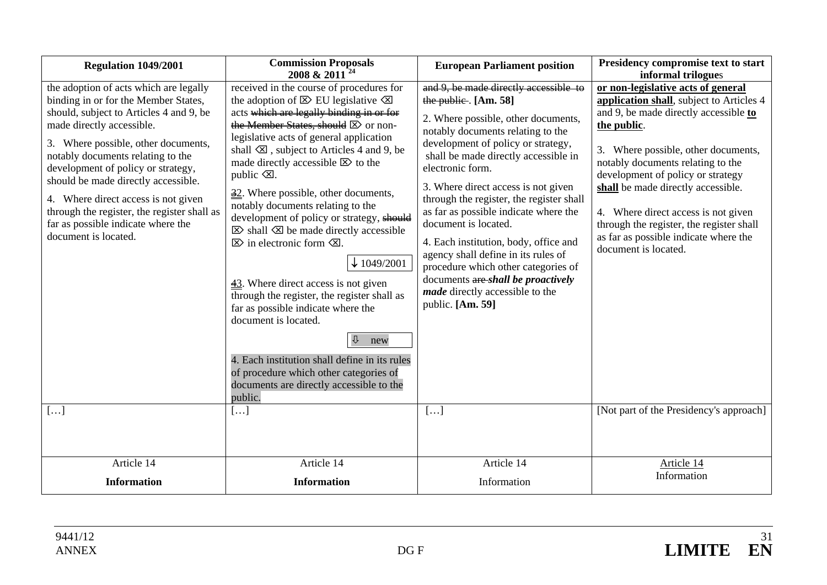| <b>Regulation 1049/2001</b>                                                                                                                                                                                                                                                                                                                                                                                                                                         | <b>Commission Proposals</b><br>2008 & 2011 <sup>24</sup>                                                                                                                                                                                                                                                                                                                                                                                                                                                                                                                                                                                                                                                                                                                                                                                                                                                                                                                                 | <b>European Parliament position</b>                                                                                                                                                                                                                                                                                                                                                                                                                                                                                                                                                                                   | Presidency compromise text to start<br>informal trilogues                                                                                                                                                                                                                                                                                                                                                                                         |
|---------------------------------------------------------------------------------------------------------------------------------------------------------------------------------------------------------------------------------------------------------------------------------------------------------------------------------------------------------------------------------------------------------------------------------------------------------------------|------------------------------------------------------------------------------------------------------------------------------------------------------------------------------------------------------------------------------------------------------------------------------------------------------------------------------------------------------------------------------------------------------------------------------------------------------------------------------------------------------------------------------------------------------------------------------------------------------------------------------------------------------------------------------------------------------------------------------------------------------------------------------------------------------------------------------------------------------------------------------------------------------------------------------------------------------------------------------------------|-----------------------------------------------------------------------------------------------------------------------------------------------------------------------------------------------------------------------------------------------------------------------------------------------------------------------------------------------------------------------------------------------------------------------------------------------------------------------------------------------------------------------------------------------------------------------------------------------------------------------|---------------------------------------------------------------------------------------------------------------------------------------------------------------------------------------------------------------------------------------------------------------------------------------------------------------------------------------------------------------------------------------------------------------------------------------------------|
| the adoption of acts which are legally<br>binding in or for the Member States,<br>should, subject to Articles 4 and 9, be<br>made directly accessible.<br>3. Where possible, other documents,<br>notably documents relating to the<br>development of policy or strategy,<br>should be made directly accessible.<br>4. Where direct access is not given<br>through the register, the register shall as<br>far as possible indicate where the<br>document is located. | received in the course of procedures for<br>the adoption of $\boxtimes$ EU legislative $\boxtimes$<br>acts which are legally binding in or for<br>the Member States, should $\boxtimes$ or non-<br>legislative acts of general application<br>shall $\boxtimes$ , subject to Articles 4 and 9, be<br>made directly accessible $\boxtimes$ to the<br>public $\mathcal{A}$ .<br>$\frac{32}{2}$ . Where possible, other documents,<br>notably documents relating to the<br>development of policy or strategy, should<br>$\boxtimes$ shall $\boxtimes$ be made directly accessible<br>$\boxtimes$ in electronic form $\boxtimes$ .<br>$\downarrow$ 1049/2001<br>$\frac{43}{2}$ . Where direct access is not given<br>through the register, the register shall as<br>far as possible indicate where the<br>document is located.<br>⇩<br>new<br>4. Each institution shall define in its rules<br>of procedure which other categories of<br>documents are directly accessible to the<br>public. | and 9, be made directly accessible to<br>the public. $[Am. 58]$<br>2. Where possible, other documents,<br>notably documents relating to the<br>development of policy or strategy,<br>shall be made directly accessible in<br>electronic form.<br>3. Where direct access is not given<br>through the register, the register shall<br>as far as possible indicate where the<br>document is located.<br>4. Each institution, body, office and<br>agency shall define in its rules of<br>procedure which other categories of<br>documents are shall be proactively<br>made directly accessible to the<br>public. [Am. 59] | or non-legislative acts of general<br>application shall, subject to Articles 4<br>and 9, be made directly accessible to<br>the public.<br>3. Where possible, other documents,<br>notably documents relating to the<br>development of policy or strategy<br>shall be made directly accessible.<br>4. Where direct access is not given<br>through the register, the register shall<br>as far as possible indicate where the<br>document is located. |
| $[\dots]$                                                                                                                                                                                                                                                                                                                                                                                                                                                           | []                                                                                                                                                                                                                                                                                                                                                                                                                                                                                                                                                                                                                                                                                                                                                                                                                                                                                                                                                                                       | []                                                                                                                                                                                                                                                                                                                                                                                                                                                                                                                                                                                                                    | [Not part of the Presidency's approach]                                                                                                                                                                                                                                                                                                                                                                                                           |
| Article 14<br><b>Information</b>                                                                                                                                                                                                                                                                                                                                                                                                                                    | Article 14<br><b>Information</b>                                                                                                                                                                                                                                                                                                                                                                                                                                                                                                                                                                                                                                                                                                                                                                                                                                                                                                                                                         | Article 14<br>Information                                                                                                                                                                                                                                                                                                                                                                                                                                                                                                                                                                                             | Article 14<br>Information                                                                                                                                                                                                                                                                                                                                                                                                                         |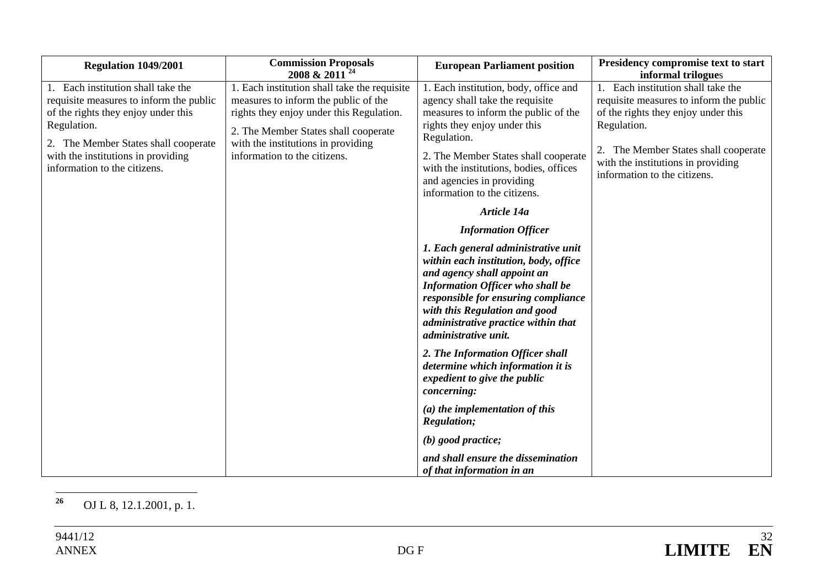| Regulation 1049/2001                                                                                                                                                                                                                           | <b>Commission Proposals</b><br>2008 & 2011                                                                                                                                                                                                     | <b>European Parliament position</b>                                                                                                                                                                                                                                                                            | Presidency compromise text to start<br>informal trilogues                                                                                                                                                                                      |
|------------------------------------------------------------------------------------------------------------------------------------------------------------------------------------------------------------------------------------------------|------------------------------------------------------------------------------------------------------------------------------------------------------------------------------------------------------------------------------------------------|----------------------------------------------------------------------------------------------------------------------------------------------------------------------------------------------------------------------------------------------------------------------------------------------------------------|------------------------------------------------------------------------------------------------------------------------------------------------------------------------------------------------------------------------------------------------|
| Each institution shall take the<br>requisite measures to inform the public<br>of the rights they enjoy under this<br>Regulation.<br>2. The Member States shall cooperate<br>with the institutions in providing<br>information to the citizens. | 1. Each institution shall take the requisite<br>measures to inform the public of the<br>rights they enjoy under this Regulation.<br>2. The Member States shall cooperate<br>with the institutions in providing<br>information to the citizens. | 1. Each institution, body, office and<br>agency shall take the requisite<br>measures to inform the public of the<br>rights they enjoy under this<br>Regulation.<br>2. The Member States shall cooperate<br>with the institutions, bodies, offices<br>and agencies in providing<br>information to the citizens. | 1. Each institution shall take the<br>requisite measures to inform the public<br>of the rights they enjoy under this<br>Regulation.<br>The Member States shall cooperate<br>with the institutions in providing<br>information to the citizens. |
|                                                                                                                                                                                                                                                |                                                                                                                                                                                                                                                | Article 14a                                                                                                                                                                                                                                                                                                    |                                                                                                                                                                                                                                                |
|                                                                                                                                                                                                                                                |                                                                                                                                                                                                                                                | <b>Information Officer</b>                                                                                                                                                                                                                                                                                     |                                                                                                                                                                                                                                                |
|                                                                                                                                                                                                                                                |                                                                                                                                                                                                                                                | 1. Each general administrative unit<br>within each institution, body, office<br>and agency shall appoint an<br><b>Information Officer who shall be</b><br>responsible for ensuring compliance<br>with this Regulation and good<br>administrative practice within that<br>administrative unit.                  |                                                                                                                                                                                                                                                |
|                                                                                                                                                                                                                                                |                                                                                                                                                                                                                                                | 2. The Information Officer shall<br>determine which information it is<br>expedient to give the public<br>concerning:                                                                                                                                                                                           |                                                                                                                                                                                                                                                |
|                                                                                                                                                                                                                                                |                                                                                                                                                                                                                                                | $(a)$ the implementation of this<br><b>Regulation;</b>                                                                                                                                                                                                                                                         |                                                                                                                                                                                                                                                |
|                                                                                                                                                                                                                                                |                                                                                                                                                                                                                                                | $(b)$ good practice;                                                                                                                                                                                                                                                                                           |                                                                                                                                                                                                                                                |
|                                                                                                                                                                                                                                                |                                                                                                                                                                                                                                                | and shall ensure the dissemination<br>of that information in an                                                                                                                                                                                                                                                |                                                                                                                                                                                                                                                |

<sup>26</sup> OJ L 8, 12.1.2001, p. 1.

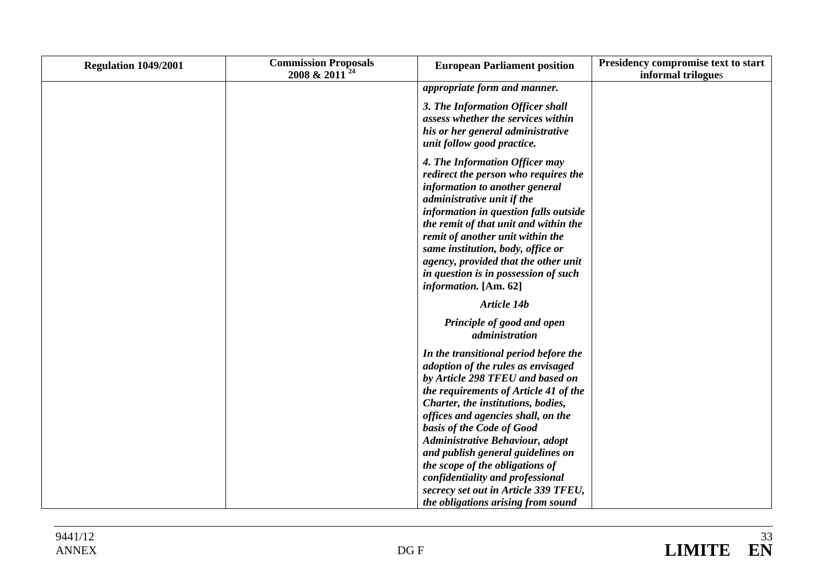| Regulation 1049/2001 | <b>Commission Proposals</b><br>2008 & 2011 <sup>24</sup> | <b>European Parliament position</b>                                                                                                                                                                                                                                                                                                                                                                                                                      | Presidency compromise text to start<br>informal trilogues |
|----------------------|----------------------------------------------------------|----------------------------------------------------------------------------------------------------------------------------------------------------------------------------------------------------------------------------------------------------------------------------------------------------------------------------------------------------------------------------------------------------------------------------------------------------------|-----------------------------------------------------------|
|                      |                                                          | appropriate form and manner.                                                                                                                                                                                                                                                                                                                                                                                                                             |                                                           |
|                      |                                                          | 3. The Information Officer shall<br>assess whether the services within<br>his or her general administrative<br>unit follow good practice.                                                                                                                                                                                                                                                                                                                |                                                           |
|                      |                                                          | 4. The Information Officer may<br>redirect the person who requires the<br>information to another general<br>administrative unit if the<br>information in question falls outside<br>the remit of that unit and within the<br>remit of another unit within the<br>same institution, body, office or<br>agency, provided that the other unit<br>in question is in possession of such<br>information. [Am. 62]                                               |                                                           |
|                      |                                                          | Article 14b                                                                                                                                                                                                                                                                                                                                                                                                                                              |                                                           |
|                      |                                                          | Principle of good and open<br>administration                                                                                                                                                                                                                                                                                                                                                                                                             |                                                           |
|                      |                                                          | In the transitional period before the<br>adoption of the rules as envisaged<br>by Article 298 TFEU and based on<br>the requirements of Article 41 of the<br>Charter, the institutions, bodies,<br>offices and agencies shall, on the<br>basis of the Code of Good<br>Administrative Behaviour, adopt<br>and publish general guidelines on<br>the scope of the obligations of<br>confidentiality and professional<br>secrecy set out in Article 339 TFEU, |                                                           |
|                      |                                                          | the obligations arising from sound                                                                                                                                                                                                                                                                                                                                                                                                                       |                                                           |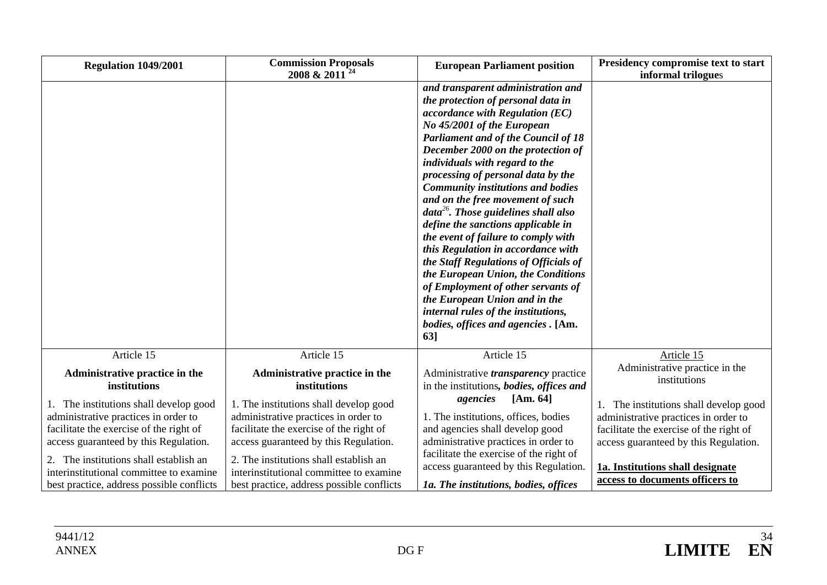| Regulation 1049/2001                                                                                                                                               | <b>Commission Proposals</b><br>2008 & 2011 <sup>24</sup>                                                                                                           | <b>European Parliament position</b>                                                                                                                                                                                                                                                                                                                                                                                                                                                                                                                                                                                                                                                                                                                                                                  | Presidency compromise text to start<br>informal trilogues                                                                                                          |
|--------------------------------------------------------------------------------------------------------------------------------------------------------------------|--------------------------------------------------------------------------------------------------------------------------------------------------------------------|------------------------------------------------------------------------------------------------------------------------------------------------------------------------------------------------------------------------------------------------------------------------------------------------------------------------------------------------------------------------------------------------------------------------------------------------------------------------------------------------------------------------------------------------------------------------------------------------------------------------------------------------------------------------------------------------------------------------------------------------------------------------------------------------------|--------------------------------------------------------------------------------------------------------------------------------------------------------------------|
|                                                                                                                                                                    |                                                                                                                                                                    | and transparent administration and<br>the protection of personal data in<br>$accordance$ with Regulation $(EC)$<br>No 45/2001 of the European<br><b>Parliament and of the Council of 18</b><br>December 2000 on the protection of<br>individuals with regard to the<br>processing of personal data by the<br><b>Community institutions and bodies</b><br>and on the free movement of such<br>$data^{26}$ . Those guidelines shall also<br>define the sanctions applicable in<br>the event of failure to comply with<br>this Regulation in accordance with<br>the Staff Regulations of Officials of<br>the European Union, the Conditions<br>of Employment of other servants of<br>the European Union and in the<br>internal rules of the institutions,<br>bodies, offices and agencies . [Am.<br>63] |                                                                                                                                                                    |
| Article 15                                                                                                                                                         | Article 15                                                                                                                                                         | Article 15                                                                                                                                                                                                                                                                                                                                                                                                                                                                                                                                                                                                                                                                                                                                                                                           | Article 15                                                                                                                                                         |
| Administrative practice in the<br>institutions                                                                                                                     | Administrative practice in the<br>institutions                                                                                                                     | Administrative <i>transparency</i> practice<br>in the institutions, bodies, offices and                                                                                                                                                                                                                                                                                                                                                                                                                                                                                                                                                                                                                                                                                                              | Administrative practice in the<br>institutions                                                                                                                     |
| 1. The institutions shall develop good<br>administrative practices in order to<br>facilitate the exercise of the right of<br>access guaranteed by this Regulation. | 1. The institutions shall develop good<br>administrative practices in order to<br>facilitate the exercise of the right of<br>access guaranteed by this Regulation. | [Am. 64]<br>agencies<br>1. The institutions, offices, bodies<br>and agencies shall develop good<br>administrative practices in order to                                                                                                                                                                                                                                                                                                                                                                                                                                                                                                                                                                                                                                                              | 1. The institutions shall develop good<br>administrative practices in order to<br>facilitate the exercise of the right of<br>access guaranteed by this Regulation. |
| 2. The institutions shall establish an<br>interinstitutional committee to examine<br>best practice, address possible conflicts                                     | 2. The institutions shall establish an<br>interinstitutional committee to examine<br>best practice, address possible conflicts                                     | facilitate the exercise of the right of<br>access guaranteed by this Regulation.<br>1a. The institutions, bodies, offices                                                                                                                                                                                                                                                                                                                                                                                                                                                                                                                                                                                                                                                                            | 1a. Institutions shall designate<br>access to documents officers to                                                                                                |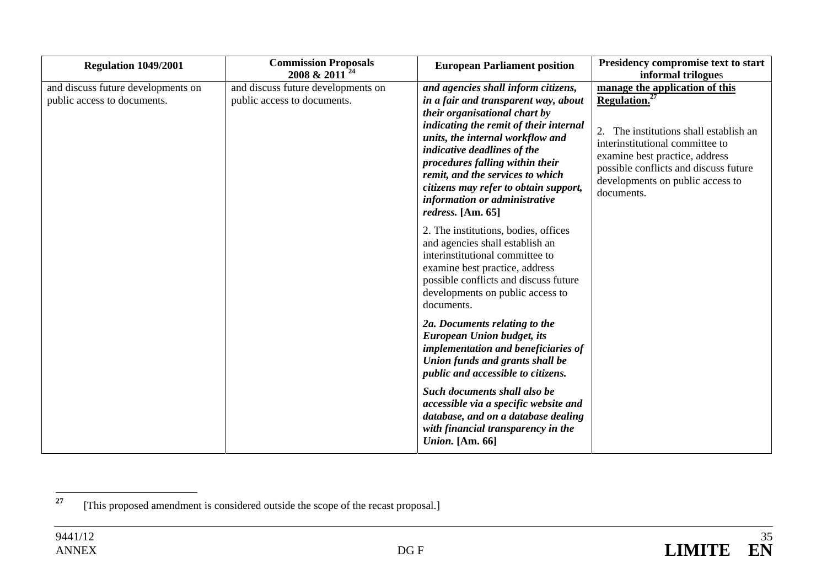| Regulation 1049/2001                                              | <b>Commission Proposals</b><br>2008 & 2011 <sup>24</sup>          | <b>European Parliament position</b>                                                                                                                                                                                                                                                                                                                                                             | Presidency compromise text to start<br>informal trilogues                                                                                                                                                                                                                |
|-------------------------------------------------------------------|-------------------------------------------------------------------|-------------------------------------------------------------------------------------------------------------------------------------------------------------------------------------------------------------------------------------------------------------------------------------------------------------------------------------------------------------------------------------------------|--------------------------------------------------------------------------------------------------------------------------------------------------------------------------------------------------------------------------------------------------------------------------|
| and discuss future developments on<br>public access to documents. | and discuss future developments on<br>public access to documents. | and agencies shall inform citizens,<br>in a fair and transparent way, about<br>their organisational chart by<br>indicating the remit of their internal<br>units, the internal workflow and<br>indicative deadlines of the<br>procedures falling within their<br>remit, and the services to which<br>citizens may refer to obtain support,<br>information or administrative<br>redress. [Am. 65] | manage the application of this<br>Regulation. <sup>27</sup><br>The institutions shall establish an<br>2.<br>interinstitutional committee to<br>examine best practice, address<br>possible conflicts and discuss future<br>developments on public access to<br>documents. |
|                                                                   |                                                                   | 2. The institutions, bodies, offices<br>and agencies shall establish an<br>interinstitutional committee to<br>examine best practice, address<br>possible conflicts and discuss future<br>developments on public access to<br>documents.                                                                                                                                                         |                                                                                                                                                                                                                                                                          |
|                                                                   |                                                                   | 2a. Documents relating to the<br><b>European Union budget, its</b><br>implementation and beneficiaries of<br>Union funds and grants shall be<br>public and accessible to citizens.                                                                                                                                                                                                              |                                                                                                                                                                                                                                                                          |
|                                                                   |                                                                   | Such documents shall also be<br>accessible via a specific website and<br>database, and on a database dealing<br>with financial transparency in the<br><i>Union.</i> [Am. 66]                                                                                                                                                                                                                    |                                                                                                                                                                                                                                                                          |

**<sup>27</sup>**[This proposed amendment is considered outside the scope of the recast proposal.]